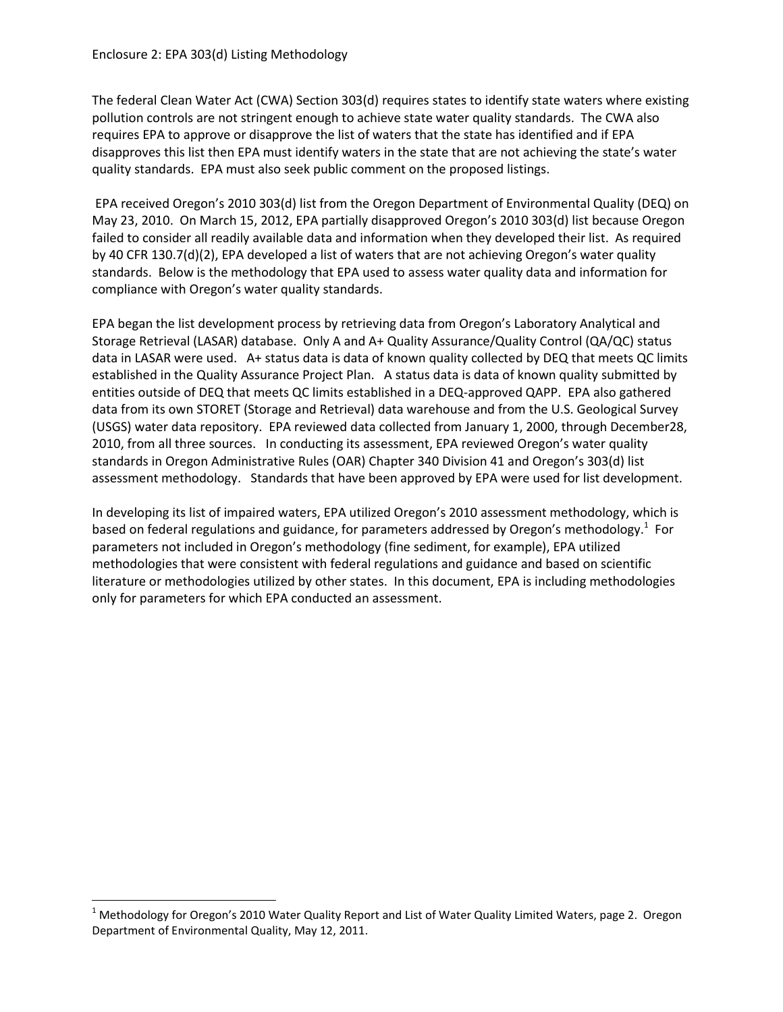$\overline{\phantom{a}}$ 

The federal Clean Water Act (CWA) Section 303(d) requires states to identify state waters where existing pollution controls are not stringent enough to achieve state water quality standards. The CWA also requires EPA to approve or disapprove the list of waters that the state has identified and if EPA disapproves this list then EPA must identify waters in the state that are not achieving the state's water quality standards. EPA must also seek public comment on the proposed listings.

EPA received Oregon's 2010 303(d) list from the Oregon Department of Environmental Quality (DEQ) on May 23, 2010. On March 15, 2012, EPA partially disapproved Oregon's 2010 303(d) list because Oregon failed to consider all readily available data and information when they developed their list. As required by 40 CFR 130.7(d)(2), EPA developed a list of waters that are not achieving Oregon's water quality standards. Below is the methodology that EPA used to assess water quality data and information for compliance with Oregon's water quality standards.

EPA began the list development process by retrieving data from Oregon's Laboratory Analytical and Storage Retrieval (LASAR) database. Only A and A+ Quality Assurance/Quality Control (QA/QC) status data in LASAR were used. A+ status data is data of known quality collected by DEQ that meets QC limits established in the Quality Assurance Project Plan. A status data is data of known quality submitted by entities outside of DEQ that meets QC limits established in a DEQ-approved QAPP. EPA also gathered data from its own STORET (Storage and Retrieval) data warehouse and from the U.S. Geological Survey (USGS) water data repository. EPA reviewed data collected from January 1, 2000, through December28, 2010, from all three sources. In conducting its assessment, EPA reviewed Oregon's water quality standards in Oregon Administrative Rules (OAR) Chapter 340 Division 41 and Oregon's 303(d) list assessment methodology. Standards that have been approved by EPA were used for list development.

In developing its list of impaired waters, EPA utilized Oregon's 2010 assessment methodology, which is based on federal regulations and guidance, for parameters addressed by Oregon's methodology.<sup>1</sup> For parameters not included in Oregon's methodology (fine sediment, for example), EPA utilized methodologies that were consistent with federal regulations and guidance and based on scientific literature or methodologies utilized by other states. In this document, EPA is including methodologies only for parameters for which EPA conducted an assessment.

<sup>&</sup>lt;sup>1</sup> Methodology for Oregon's 2010 Water Quality Report and List of Water Quality Limited Waters, page 2. Oregon Department of Environmental Quality, May 12, 2011.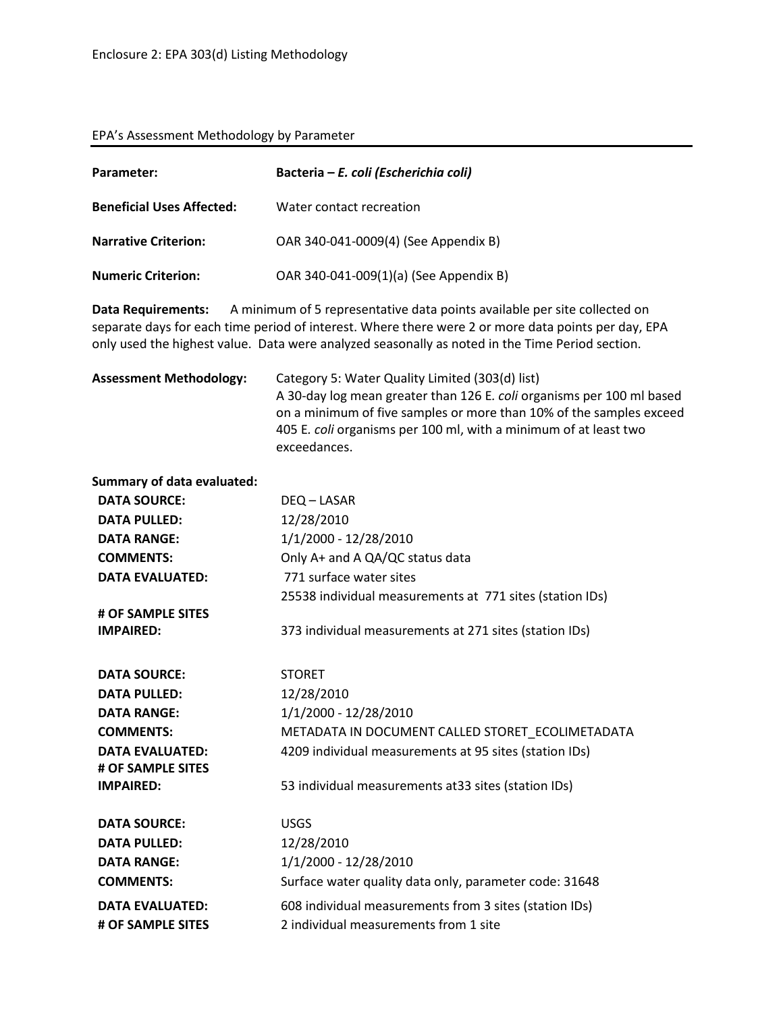## EPA's Assessment Methodology by Parameter

| Parameter:                       | Bacteria – E. coli (Escherichia coli)                                                                                                                                           |
|----------------------------------|---------------------------------------------------------------------------------------------------------------------------------------------------------------------------------|
| <b>Beneficial Uses Affected:</b> | Water contact recreation                                                                                                                                                        |
| <b>Narrative Criterion:</b>      | OAR 340-041-0009(4) (See Appendix B)                                                                                                                                            |
| <b>Numeric Criterion:</b>        | OAR 340-041-009(1)(a) (See Appendix B)                                                                                                                                          |
| <b>Data Requirements:</b>        | A minimum of 5 representative data points available per site collected on<br>contrate days for each time period of interest Where there were 2 or more data points nor day. EDA |

separate days for each time period of interest. Where there were 2 or more data points per day, EPA only used the highest value. Data were analyzed seasonally as noted in the Time Period section.

| <b>Assessment Methodology:</b>    | Category 5: Water Quality Limited (303(d) list)<br>A 30-day log mean greater than 126 E. coli organisms per 100 ml based<br>on a minimum of five samples or more than 10% of the samples exceed<br>405 E. coli organisms per 100 ml, with a minimum of at least two<br>exceedances. |
|-----------------------------------|-------------------------------------------------------------------------------------------------------------------------------------------------------------------------------------------------------------------------------------------------------------------------------------|
| <b>Summary of data evaluated:</b> |                                                                                                                                                                                                                                                                                     |
| <b>DATA SOURCE:</b>               | DEQ - LASAR                                                                                                                                                                                                                                                                         |
| <b>DATA PULLED:</b>               | 12/28/2010                                                                                                                                                                                                                                                                          |
| <b>DATA RANGE:</b>                | 1/1/2000 - 12/28/2010                                                                                                                                                                                                                                                               |
| <b>COMMENTS:</b>                  | Only A+ and A QA/QC status data                                                                                                                                                                                                                                                     |
| <b>DATA EVALUATED:</b>            | 771 surface water sites                                                                                                                                                                                                                                                             |
|                                   | 25538 individual measurements at 771 sites (station IDs)                                                                                                                                                                                                                            |
| # OF SAMPLE SITES                 |                                                                                                                                                                                                                                                                                     |
| <b>IMPAIRED:</b>                  | 373 individual measurements at 271 sites (station IDs)                                                                                                                                                                                                                              |
| <b>DATA SOURCE:</b>               | <b>STORET</b>                                                                                                                                                                                                                                                                       |
| <b>DATA PULLED:</b>               | 12/28/2010                                                                                                                                                                                                                                                                          |
| <b>DATA RANGE:</b>                | 1/1/2000 - 12/28/2010                                                                                                                                                                                                                                                               |
| <b>COMMENTS:</b>                  | METADATA IN DOCUMENT CALLED STORET_ECOLIMETADATA                                                                                                                                                                                                                                    |
| <b>DATA EVALUATED:</b>            | 4209 individual measurements at 95 sites (station IDs)                                                                                                                                                                                                                              |
| # OF SAMPLE SITES                 |                                                                                                                                                                                                                                                                                     |
| <b>IMPAIRED:</b>                  | 53 individual measurements at 33 sites (station IDs)                                                                                                                                                                                                                                |
| <b>DATA SOURCE:</b>               | <b>USGS</b>                                                                                                                                                                                                                                                                         |
| <b>DATA PULLED:</b>               | 12/28/2010                                                                                                                                                                                                                                                                          |
| <b>DATA RANGE:</b>                | 1/1/2000 - 12/28/2010                                                                                                                                                                                                                                                               |
| <b>COMMENTS:</b>                  | Surface water quality data only, parameter code: 31648                                                                                                                                                                                                                              |
| <b>DATA EVALUATED:</b>            | 608 individual measurements from 3 sites (station IDs)                                                                                                                                                                                                                              |
| # OF SAMPLE SITES                 | 2 individual measurements from 1 site                                                                                                                                                                                                                                               |
|                                   |                                                                                                                                                                                                                                                                                     |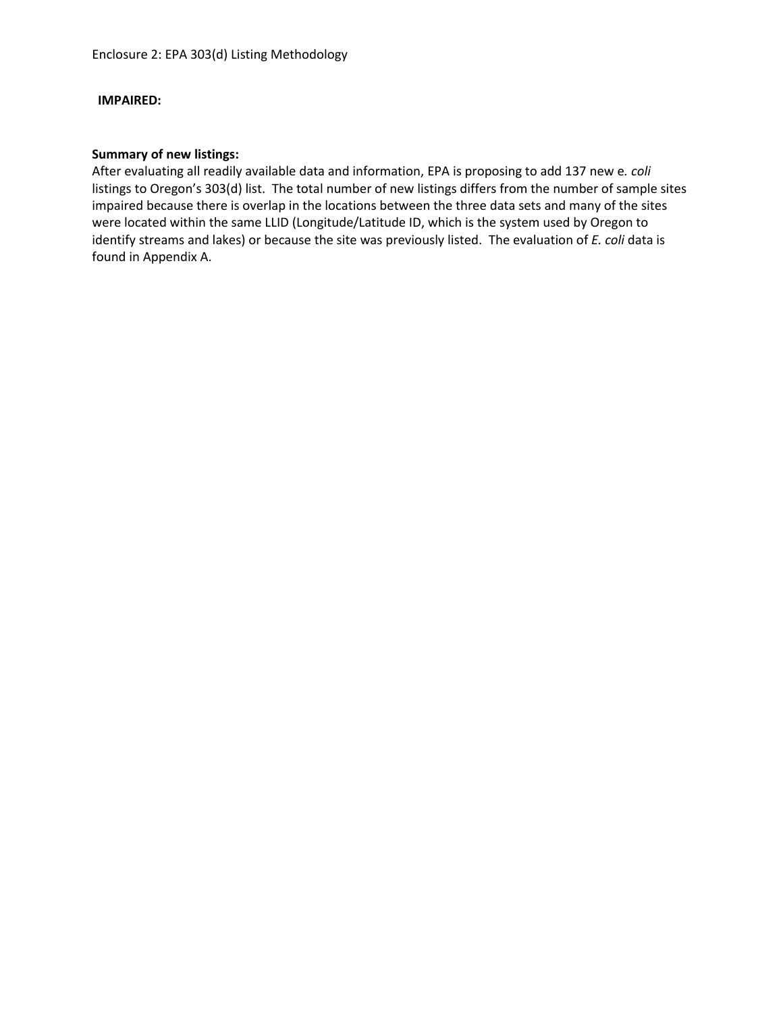#### **IMPAIRED:**

#### **Summary of new listings:**

After evaluating all readily available data and information, EPA is proposing to add 137 new e*. coli* listings to Oregon's 303(d) list. The total number of new listings differs from the number of sample sites impaired because there is overlap in the locations between the three data sets and many of the sites were located within the same LLID (Longitude/Latitude ID, which is the system used by Oregon to identify streams and lakes) or because the site was previously listed. The evaluation of *E. coli* data is found in Appendix A.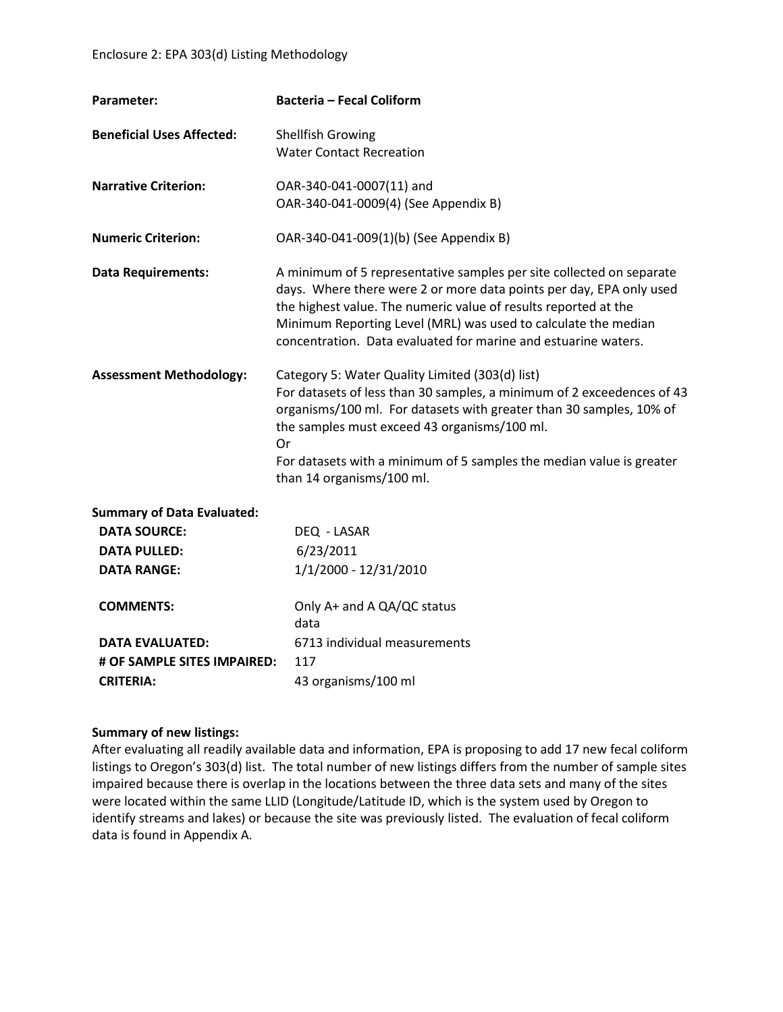| Parameter:                       | <b>Bacteria - Fecal Coliform</b>                                                                                                                                                                                                                                                                                                                            |
|----------------------------------|-------------------------------------------------------------------------------------------------------------------------------------------------------------------------------------------------------------------------------------------------------------------------------------------------------------------------------------------------------------|
| <b>Beneficial Uses Affected:</b> | <b>Shellfish Growing</b><br><b>Water Contact Recreation</b>                                                                                                                                                                                                                                                                                                 |
| <b>Narrative Criterion:</b>      | OAR-340-041-0007(11) and<br>OAR-340-041-0009(4) (See Appendix B)                                                                                                                                                                                                                                                                                            |
| <b>Numeric Criterion:</b>        | OAR-340-041-009(1)(b) (See Appendix B)                                                                                                                                                                                                                                                                                                                      |
| <b>Data Requirements:</b>        | A minimum of 5 representative samples per site collected on separate<br>days. Where there were 2 or more data points per day, EPA only used<br>the highest value. The numeric value of results reported at the<br>Minimum Reporting Level (MRL) was used to calculate the median<br>concentration. Data evaluated for marine and estuarine waters.          |
| <b>Assessment Methodology:</b>   | Category 5: Water Quality Limited (303(d) list)<br>For datasets of less than 30 samples, a minimum of 2 exceedences of 43<br>organisms/100 ml. For datasets with greater than 30 samples, 10% of<br>the samples must exceed 43 organisms/100 ml.<br>Or<br>For datasets with a minimum of 5 samples the median value is greater<br>than 14 organisms/100 ml. |

| <b>Summary of Data Evaluated:</b> |                                    |
|-----------------------------------|------------------------------------|
| <b>DATA SOURCE:</b>               | DEQ - LASAR                        |
| <b>DATA PULLED:</b>               | 6/23/2011                          |
| <b>DATA RANGE:</b>                | 1/1/2000 - 12/31/2010              |
| <b>COMMENTS:</b>                  | Only A+ and A QA/QC status<br>data |
| <b>DATA EVALUATED:</b>            | 6713 individual measurements       |
| # OF SAMPLE SITES IMPAIRED:       | 117                                |
| <b>CRITERIA:</b>                  | 43 organisms/100 ml                |

#### **Summary of new listings:**

After evaluating all readily available data and information, EPA is proposing to add 17 new fecal coliform listings to Oregon's 303(d) list. The total number of new listings differs from the number of sample sites impaired because there is overlap in the locations between the three data sets and many of the sites were located within the same LLID (Longitude/Latitude ID, which is the system used by Oregon to identify streams and lakes) or because the site was previously listed. The evaluation of fecal coliform data is found in Appendix A.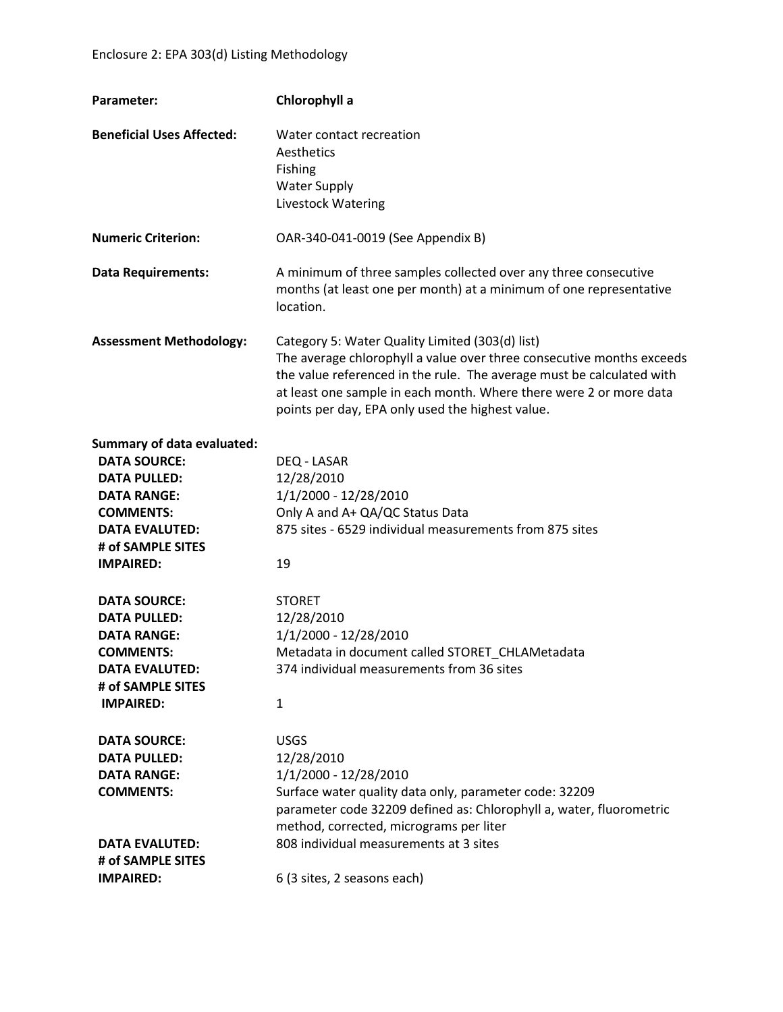| Parameter:                                                                                                                                                                                  | Chlorophyll a                                                                                                                                                                                                                                                                                                               |  |  |  |  |
|---------------------------------------------------------------------------------------------------------------------------------------------------------------------------------------------|-----------------------------------------------------------------------------------------------------------------------------------------------------------------------------------------------------------------------------------------------------------------------------------------------------------------------------|--|--|--|--|
| <b>Beneficial Uses Affected:</b>                                                                                                                                                            | Water contact recreation<br>Aesthetics<br>Fishing<br><b>Water Supply</b><br>Livestock Watering                                                                                                                                                                                                                              |  |  |  |  |
| <b>Numeric Criterion:</b>                                                                                                                                                                   | OAR-340-041-0019 (See Appendix B)                                                                                                                                                                                                                                                                                           |  |  |  |  |
| <b>Data Requirements:</b>                                                                                                                                                                   | A minimum of three samples collected over any three consecutive<br>months (at least one per month) at a minimum of one representative<br>location.                                                                                                                                                                          |  |  |  |  |
| <b>Assessment Methodology:</b>                                                                                                                                                              | Category 5: Water Quality Limited (303(d) list)<br>The average chlorophyll a value over three consecutive months exceeds<br>the value referenced in the rule. The average must be calculated with<br>at least one sample in each month. Where there were 2 or more data<br>points per day, EPA only used the highest value. |  |  |  |  |
| <b>Summary of data evaluated:</b><br><b>DATA SOURCE:</b><br><b>DATA PULLED:</b><br><b>DATA RANGE:</b><br><b>COMMENTS:</b><br><b>DATA EVALUTED:</b><br># of SAMPLE SITES<br><b>IMPAIRED:</b> | <b>DEQ - LASAR</b><br>12/28/2010<br>1/1/2000 - 12/28/2010<br>Only A and A+ QA/QC Status Data<br>875 sites - 6529 individual measurements from 875 sites<br>19                                                                                                                                                               |  |  |  |  |
| <b>DATA SOURCE:</b><br><b>DATA PULLED:</b><br><b>DATA RANGE:</b><br><b>COMMENTS:</b><br><b>DATA EVALUTED:</b><br># of SAMPLE SITES<br><b>IMPAIRED:</b>                                      | <b>STORET</b><br>12/28/2010<br>1/1/2000 - 12/28/2010<br>Metadata in document called STORET_CHLAMetadata<br>374 individual measurements from 36 sites<br>1                                                                                                                                                                   |  |  |  |  |
| <b>DATA SOURCE:</b><br><b>DATA PULLED:</b><br><b>DATA RANGE:</b><br><b>COMMENTS:</b><br><b>DATA EVALUTED:</b>                                                                               | <b>USGS</b><br>12/28/2010<br>1/1/2000 - 12/28/2010<br>Surface water quality data only, parameter code: 32209<br>parameter code 32209 defined as: Chlorophyll a, water, fluorometric<br>method, corrected, micrograms per liter<br>808 individual measurements at 3 sites                                                    |  |  |  |  |
| # of SAMPLE SITES<br><b>IMPAIRED:</b>                                                                                                                                                       | 6 (3 sites, 2 seasons each)                                                                                                                                                                                                                                                                                                 |  |  |  |  |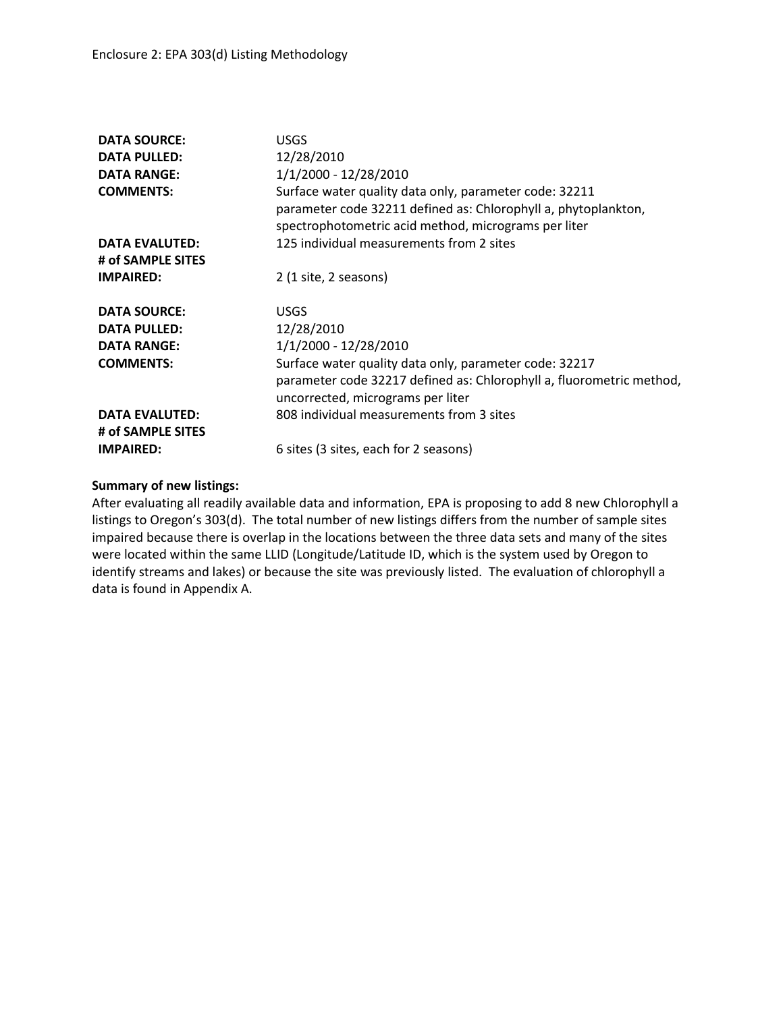| <b>DATA SOURCE:</b>   | <b>USGS</b>                                                                                                                                                                      |
|-----------------------|----------------------------------------------------------------------------------------------------------------------------------------------------------------------------------|
| <b>DATA PULLED:</b>   | 12/28/2010                                                                                                                                                                       |
| <b>DATA RANGE:</b>    | 1/1/2000 - 12/28/2010                                                                                                                                                            |
| <b>COMMENTS:</b>      | Surface water quality data only, parameter code: 32211<br>parameter code 32211 defined as: Chlorophyll a, phytoplankton,<br>spectrophotometric acid method, micrograms per liter |
| <b>DATA EVALUTED:</b> | 125 individual measurements from 2 sites                                                                                                                                         |
| # of SAMPLE SITES     |                                                                                                                                                                                  |
| <b>IMPAIRED:</b>      | 2 (1 site, 2 seasons)                                                                                                                                                            |
| <b>DATA SOURCE:</b>   | <b>USGS</b>                                                                                                                                                                      |
| <b>DATA PULLED:</b>   | 12/28/2010                                                                                                                                                                       |
| <b>DATA RANGE:</b>    | 1/1/2000 - 12/28/2010                                                                                                                                                            |
| <b>COMMENTS:</b>      | Surface water quality data only, parameter code: 32217<br>parameter code 32217 defined as: Chlorophyll a, fluorometric method,<br>uncorrected, micrograms per liter              |
| <b>DATA EVALUTED:</b> | 808 individual measurements from 3 sites                                                                                                                                         |
| # of SAMPLE SITES     |                                                                                                                                                                                  |
| <b>IMPAIRED:</b>      | 6 sites (3 sites, each for 2 seasons)                                                                                                                                            |

#### **Summary of new listings:**

After evaluating all readily available data and information, EPA is proposing to add 8 new Chlorophyll a listings to Oregon's 303(d). The total number of new listings differs from the number of sample sites impaired because there is overlap in the locations between the three data sets and many of the sites were located within the same LLID (Longitude/Latitude ID, which is the system used by Oregon to identify streams and lakes) or because the site was previously listed. The evaluation of chlorophyll a data is found in Appendix A.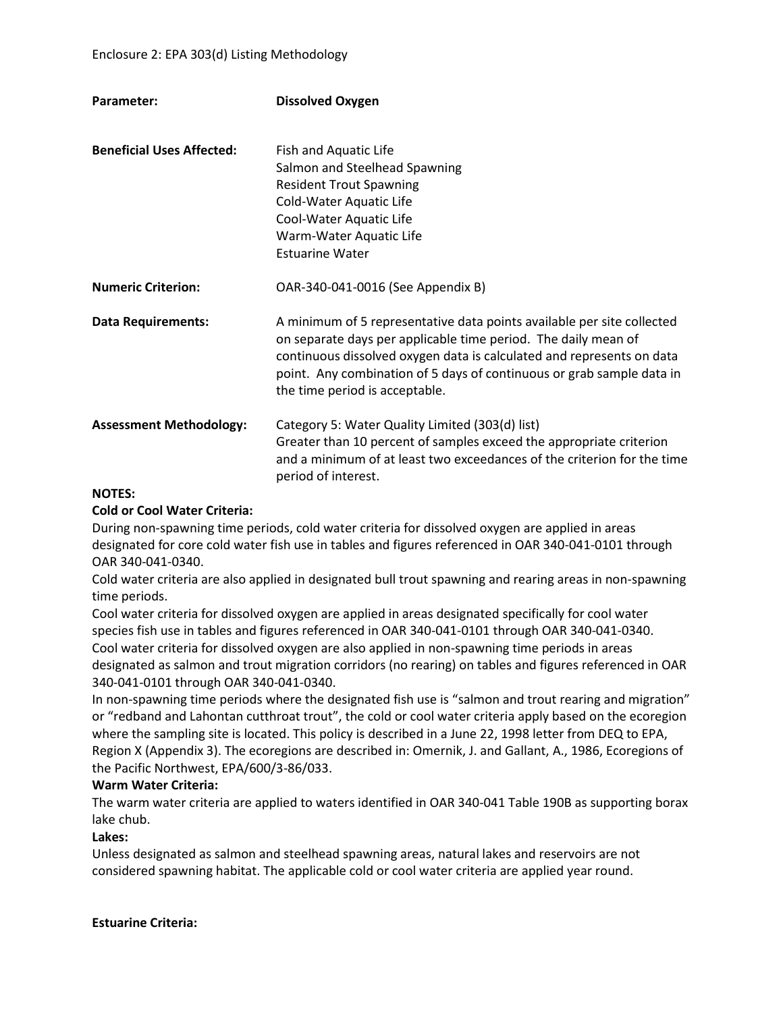| Parameter:                                | <b>Dissolved Oxygen</b>                                                                                                                                                                                                                                                                                                      |  |  |  |  |  |
|-------------------------------------------|------------------------------------------------------------------------------------------------------------------------------------------------------------------------------------------------------------------------------------------------------------------------------------------------------------------------------|--|--|--|--|--|
| <b>Beneficial Uses Affected:</b>          | Fish and Aquatic Life<br>Salmon and Steelhead Spawning<br><b>Resident Trout Spawning</b><br>Cold-Water Aquatic Life<br>Cool-Water Aquatic Life<br>Warm-Water Aquatic Life<br><b>Estuarine Water</b>                                                                                                                          |  |  |  |  |  |
| <b>Numeric Criterion:</b>                 | OAR-340-041-0016 (See Appendix B)                                                                                                                                                                                                                                                                                            |  |  |  |  |  |
| <b>Data Requirements:</b>                 | A minimum of 5 representative data points available per site collected<br>on separate days per applicable time period. The daily mean of<br>continuous dissolved oxygen data is calculated and represents on data<br>point. Any combination of 5 days of continuous or grab sample data in<br>the time period is acceptable. |  |  |  |  |  |
| <b>Assessment Methodology:</b><br>NIOTEC. | Category 5: Water Quality Limited (303(d) list)<br>Greater than 10 percent of samples exceed the appropriate criterion<br>and a minimum of at least two exceedances of the criterion for the time<br>period of interest.                                                                                                     |  |  |  |  |  |

#### **NOTES:**

#### **Cold or Cool Water Criteria:**

During non-spawning time periods, cold water criteria for dissolved oxygen are applied in areas designated for core cold water fish use in tables and figures referenced in OAR 340-041-0101 through OAR 340-041-0340.

Cold water criteria are also applied in designated bull trout spawning and rearing areas in non-spawning time periods.

Cool water criteria for dissolved oxygen are applied in areas designated specifically for cool water species fish use in tables and figures referenced in OAR 340-041-0101 through OAR 340-041-0340. Cool water criteria for dissolved oxygen are also applied in non-spawning time periods in areas designated as salmon and trout migration corridors (no rearing) on tables and figures referenced in OAR 340-041-0101 through OAR 340-041-0340.

In non-spawning time periods where the designated fish use is "salmon and trout rearing and migration" or "redband and Lahontan cutthroat trout", the cold or cool water criteria apply based on the ecoregion where the sampling site is located. This policy is described in a June 22, 1998 letter from DEQ to EPA, Region X (Appendix 3). The ecoregions are described in: Omernik, J. and Gallant, A., 1986, Ecoregions of the Pacific Northwest, EPA/600/3-86/033.

## **Warm Water Criteria:**

The warm water criteria are applied to waters identified in OAR 340-041 Table 190B as supporting borax lake chub.

#### **Lakes:**

Unless designated as salmon and steelhead spawning areas, natural lakes and reservoirs are not considered spawning habitat. The applicable cold or cool water criteria are applied year round.

#### **Estuarine Criteria:**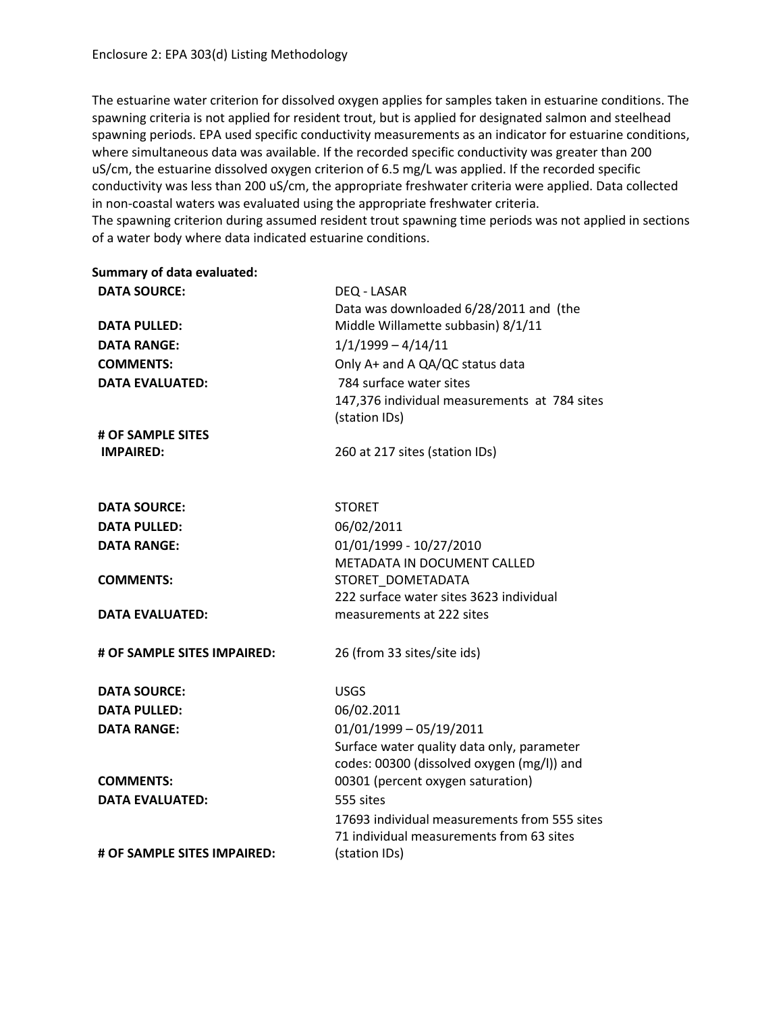The estuarine water criterion for dissolved oxygen applies for samples taken in estuarine conditions. The spawning criteria is not applied for resident trout, but is applied for designated salmon and steelhead spawning periods. EPA used specific conductivity measurements as an indicator for estuarine conditions, where simultaneous data was available. If the recorded specific conductivity was greater than 200 uS/cm, the estuarine dissolved oxygen criterion of 6.5 mg/L was applied. If the recorded specific conductivity was less than 200 uS/cm, the appropriate freshwater criteria were applied. Data collected in non-coastal waters was evaluated using the appropriate freshwater criteria. The spawning criterion during assumed resident trout spawning time periods was not applied in sections of a water body where data indicated estuarine conditions.

**Summary of data evaluated:**

| <b>DATA SOURCE:</b>         | DEQ - LASAR                                  |
|-----------------------------|----------------------------------------------|
|                             | Data was downloaded 6/28/2011 and (the       |
| <b>DATA PULLED:</b>         | Middle Willamette subbasin) 8/1/11           |
| <b>DATA RANGE:</b>          | $1/1/1999 - 4/14/11$                         |
| <b>COMMENTS:</b>            | Only A+ and A QA/QC status data              |
| <b>DATA EVALUATED:</b>      | 784 surface water sites                      |
|                             | 147,376 individual measurements at 784 sites |
|                             | (station IDs)                                |
| # OF SAMPLE SITES           |                                              |
| <b>IMPAIRED:</b>            | 260 at 217 sites (station IDs)               |
|                             |                                              |
| <b>DATA SOURCE:</b>         | <b>STORET</b>                                |
| <b>DATA PULLED:</b>         | 06/02/2011                                   |
| <b>DATA RANGE:</b>          | 01/01/1999 - 10/27/2010                      |
|                             | <b>METADATA IN DOCUMENT CALLED</b>           |
| <b>COMMENTS:</b>            | STORET DOMETADATA                            |
|                             | 222 surface water sites 3623 individual      |
| <b>DATA EVALUATED:</b>      | measurements at 222 sites                    |
| # OF SAMPLE SITES IMPAIRED: | 26 (from 33 sites/site ids)                  |
|                             |                                              |
| <b>DATA SOURCE:</b>         | <b>USGS</b>                                  |
| <b>DATA PULLED:</b>         | 06/02.2011                                   |
| <b>DATA RANGE:</b>          | $01/01/1999 - 05/19/2011$                    |
|                             | Surface water quality data only, parameter   |
|                             | codes: 00300 (dissolved oxygen (mg/l)) and   |
| <b>COMMENTS:</b>            | 00301 (percent oxygen saturation)            |
| <b>DATA EVALUATED:</b>      | 555 sites                                    |
|                             | 17693 individual measurements from 555 sites |
|                             | 71 individual measurements from 63 sites     |
| # OF SAMPLE SITES IMPAIRED: | (station IDs)                                |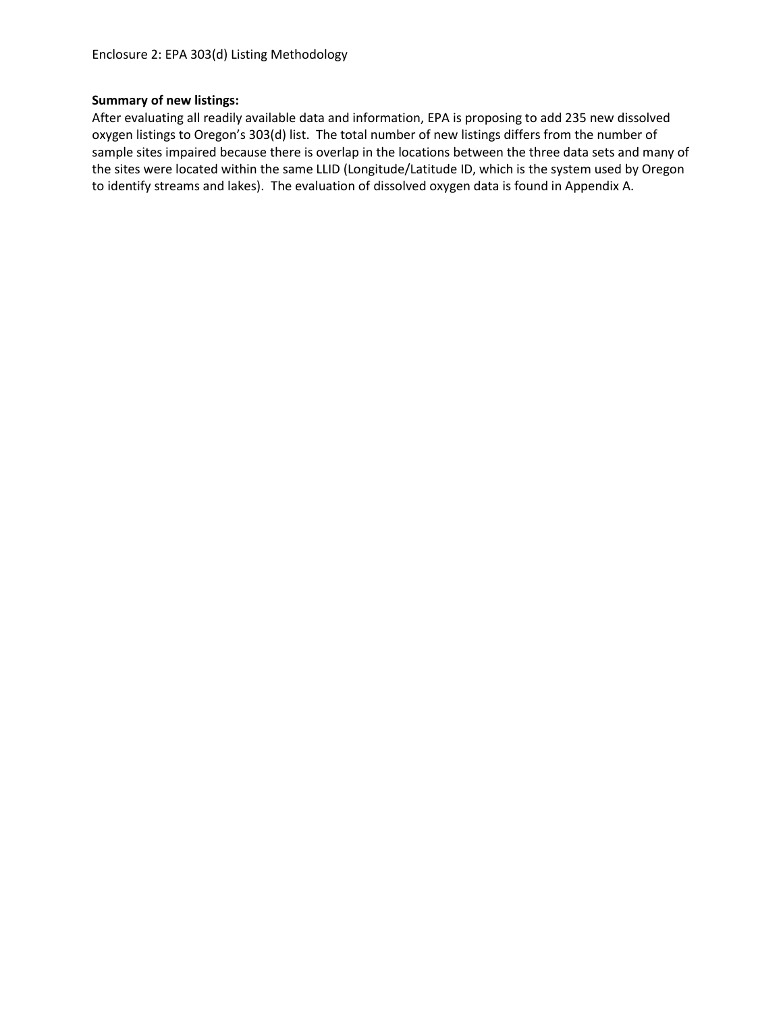### **Summary of new listings:**

After evaluating all readily available data and information, EPA is proposing to add 235 new dissolved oxygen listings to Oregon's 303(d) list. The total number of new listings differs from the number of sample sites impaired because there is overlap in the locations between the three data sets and many of the sites were located within the same LLID (Longitude/Latitude ID, which is the system used by Oregon to identify streams and lakes). The evaluation of dissolved oxygen data is found in Appendix A.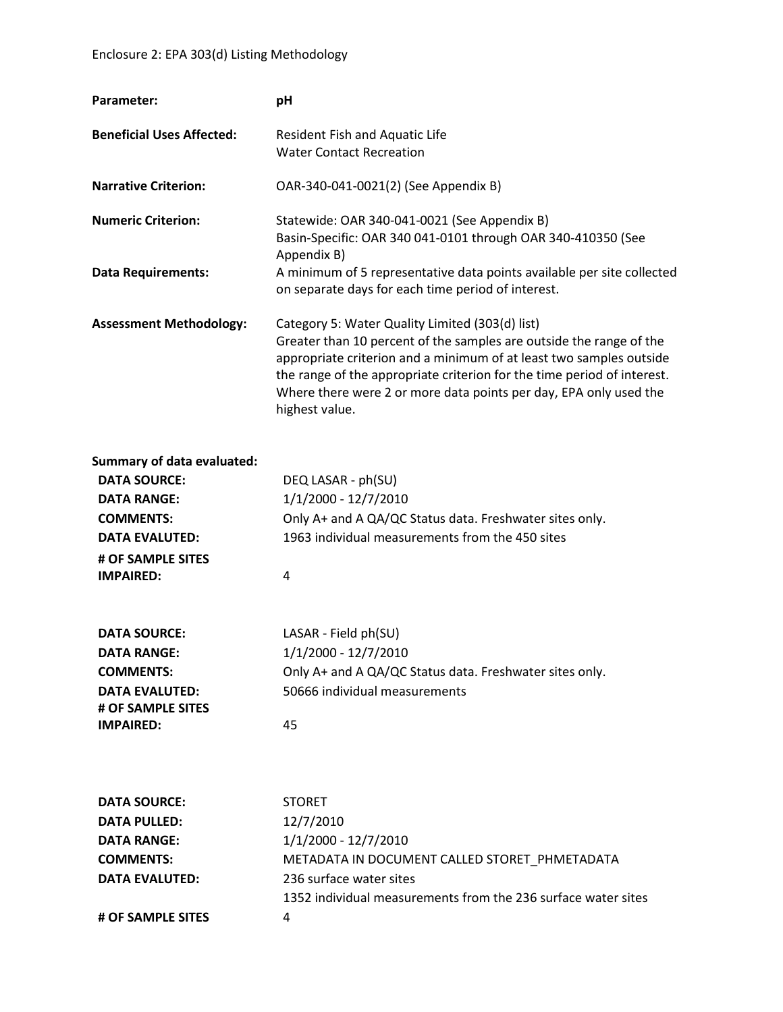| Parameter:                        | pH                                                                                                                                                                                                                                                                                                                                                              |  |  |  |  |  |
|-----------------------------------|-----------------------------------------------------------------------------------------------------------------------------------------------------------------------------------------------------------------------------------------------------------------------------------------------------------------------------------------------------------------|--|--|--|--|--|
| <b>Beneficial Uses Affected:</b>  | Resident Fish and Aquatic Life<br><b>Water Contact Recreation</b>                                                                                                                                                                                                                                                                                               |  |  |  |  |  |
| <b>Narrative Criterion:</b>       | OAR-340-041-0021(2) (See Appendix B)                                                                                                                                                                                                                                                                                                                            |  |  |  |  |  |
| <b>Numeric Criterion:</b>         | Statewide: OAR 340-041-0021 (See Appendix B)<br>Basin-Specific: OAR 340 041-0101 through OAR 340-410350 (See<br>Appendix B)                                                                                                                                                                                                                                     |  |  |  |  |  |
| <b>Data Requirements:</b>         | A minimum of 5 representative data points available per site collected<br>on separate days for each time period of interest.                                                                                                                                                                                                                                    |  |  |  |  |  |
| <b>Assessment Methodology:</b>    | Category 5: Water Quality Limited (303(d) list)<br>Greater than 10 percent of the samples are outside the range of the<br>appropriate criterion and a minimum of at least two samples outside<br>the range of the appropriate criterion for the time period of interest.<br>Where there were 2 or more data points per day, EPA only used the<br>highest value. |  |  |  |  |  |
| <b>Summary of data evaluated:</b> |                                                                                                                                                                                                                                                                                                                                                                 |  |  |  |  |  |
| <b>DATA SOURCE:</b>               | DEQ LASAR - ph(SU)                                                                                                                                                                                                                                                                                                                                              |  |  |  |  |  |
| <b>DATA RANGE:</b>                | 1/1/2000 - 12/7/2010                                                                                                                                                                                                                                                                                                                                            |  |  |  |  |  |
| <b>COMMENTS:</b>                  | Only A+ and A QA/QC Status data. Freshwater sites only.                                                                                                                                                                                                                                                                                                         |  |  |  |  |  |
| <b>DATA EVALUTED:</b>             | 1963 individual measurements from the 450 sites                                                                                                                                                                                                                                                                                                                 |  |  |  |  |  |
| # OF SAMPLE SITES                 |                                                                                                                                                                                                                                                                                                                                                                 |  |  |  |  |  |
| <b>IMPAIRED:</b>                  | 4                                                                                                                                                                                                                                                                                                                                                               |  |  |  |  |  |
| <b>DATA SOURCE:</b>               | LASAR - Field ph(SU)                                                                                                                                                                                                                                                                                                                                            |  |  |  |  |  |
| <b>DATA RANGE:</b>                | 1/1/2000 - 12/7/2010                                                                                                                                                                                                                                                                                                                                            |  |  |  |  |  |
| <b>COMMENTS:</b>                  | Only A+ and A QA/QC Status data. Freshwater sites only.                                                                                                                                                                                                                                                                                                         |  |  |  |  |  |
| <b>DATA EVALUTED:</b>             | 50666 individual measurements                                                                                                                                                                                                                                                                                                                                   |  |  |  |  |  |
| # OF SAMPLE SITES                 |                                                                                                                                                                                                                                                                                                                                                                 |  |  |  |  |  |
| <b>IMPAIRED:</b>                  | 45                                                                                                                                                                                                                                                                                                                                                              |  |  |  |  |  |
| <b>DATA SOURCE:</b>               | <b>STORET</b>                                                                                                                                                                                                                                                                                                                                                   |  |  |  |  |  |
| <b>DATA PULLED:</b>               | 12/7/2010                                                                                                                                                                                                                                                                                                                                                       |  |  |  |  |  |
| <b>DATA RANGE:</b>                | 1/1/2000 - 12/7/2010                                                                                                                                                                                                                                                                                                                                            |  |  |  |  |  |
| <b>COMMENTS:</b>                  | METADATA IN DOCUMENT CALLED STORET_PHMETADATA                                                                                                                                                                                                                                                                                                                   |  |  |  |  |  |
| <b>DATA EVALUTED:</b>             | 236 surface water sites                                                                                                                                                                                                                                                                                                                                         |  |  |  |  |  |
|                                   | 1352 individual measurements from the 236 surface water sites                                                                                                                                                                                                                                                                                                   |  |  |  |  |  |
| # OF SAMPLE SITES                 | 4                                                                                                                                                                                                                                                                                                                                                               |  |  |  |  |  |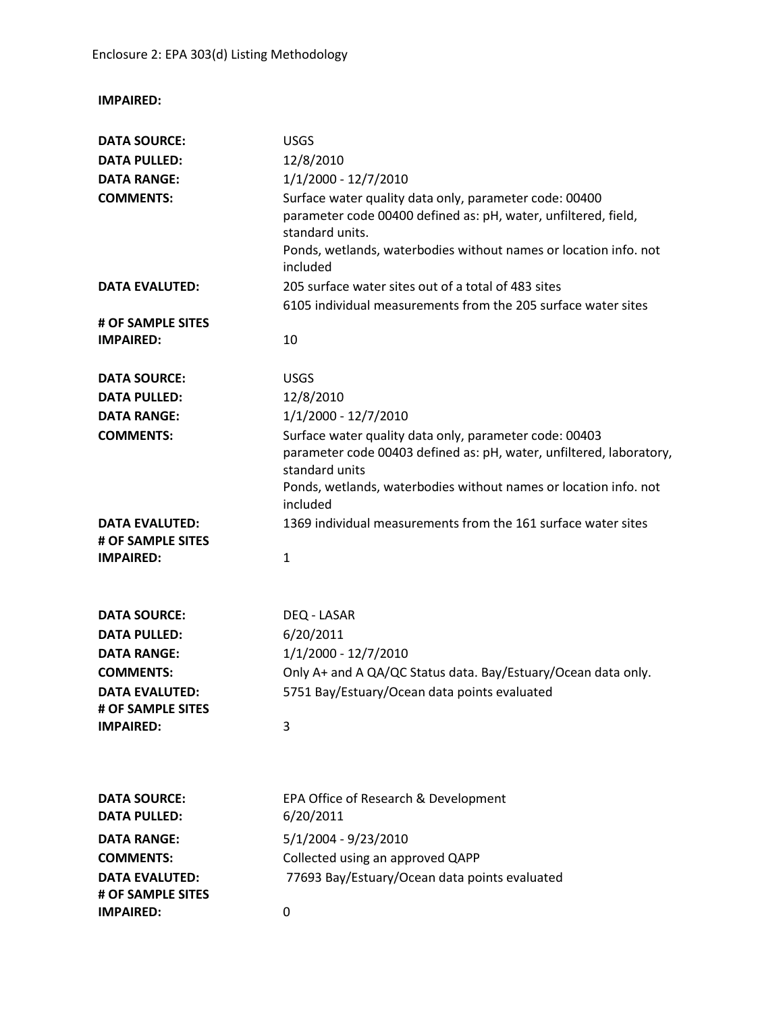**IMPAIRED:**

| <b>DATA SOURCE:</b>                                                    | <b>USGS</b>                                                                                                                                                                                                                                         |  |  |  |  |
|------------------------------------------------------------------------|-----------------------------------------------------------------------------------------------------------------------------------------------------------------------------------------------------------------------------------------------------|--|--|--|--|
| <b>DATA PULLED:</b>                                                    | 12/8/2010                                                                                                                                                                                                                                           |  |  |  |  |
| <b>DATA RANGE:</b>                                                     | 1/1/2000 - 12/7/2010<br>Surface water quality data only, parameter code: 00400<br>parameter code 00400 defined as: pH, water, unfiltered, field,<br>standard units.<br>Ponds, wetlands, waterbodies without names or location info. not<br>included |  |  |  |  |
| <b>COMMENTS:</b>                                                       |                                                                                                                                                                                                                                                     |  |  |  |  |
| <b>DATA EVALUTED:</b>                                                  | 205 surface water sites out of a total of 483 sites                                                                                                                                                                                                 |  |  |  |  |
|                                                                        | 6105 individual measurements from the 205 surface water sites                                                                                                                                                                                       |  |  |  |  |
| # OF SAMPLE SITES                                                      |                                                                                                                                                                                                                                                     |  |  |  |  |
| <b>IMPAIRED:</b>                                                       | 10                                                                                                                                                                                                                                                  |  |  |  |  |
| <b>DATA SOURCE:</b>                                                    | <b>USGS</b>                                                                                                                                                                                                                                         |  |  |  |  |
| <b>DATA PULLED:</b>                                                    | 12/8/2010                                                                                                                                                                                                                                           |  |  |  |  |
| <b>DATA RANGE:</b>                                                     | 1/1/2000 - 12/7/2010                                                                                                                                                                                                                                |  |  |  |  |
| <b>COMMENTS:</b>                                                       | Surface water quality data only, parameter code: 00403<br>parameter code 00403 defined as: pH, water, unfiltered, laboratory,<br>standard units<br>Ponds, wetlands, waterbodies without names or location info. not<br>included                     |  |  |  |  |
| <b>DATA EVALUTED:</b><br># OF SAMPLE SITES                             | 1369 individual measurements from the 161 surface water sites                                                                                                                                                                                       |  |  |  |  |
| <b>IMPAIRED:</b>                                                       | $\mathbf{1}$                                                                                                                                                                                                                                        |  |  |  |  |
|                                                                        |                                                                                                                                                                                                                                                     |  |  |  |  |
| <b>DATA SOURCE:</b>                                                    | DEQ - LASAR                                                                                                                                                                                                                                         |  |  |  |  |
| <b>DATA PULLED:</b>                                                    | 6/20/2011                                                                                                                                                                                                                                           |  |  |  |  |
| <b>DATA RANGE:</b>                                                     | 1/1/2000 - 12/7/2010                                                                                                                                                                                                                                |  |  |  |  |
| <b>COMMENTS:</b>                                                       | Only A+ and A QA/QC Status data. Bay/Estuary/Ocean data only.                                                                                                                                                                                       |  |  |  |  |
| <b>DATA EVALUTED:</b><br># OF SAMPLE SITES                             | 5751 Bay/Estuary/Ocean data points evaluated                                                                                                                                                                                                        |  |  |  |  |
| <b>IMPAIRED:</b>                                                       | 3                                                                                                                                                                                                                                                   |  |  |  |  |
|                                                                        |                                                                                                                                                                                                                                                     |  |  |  |  |
| <b>DATA SOURCE:</b><br><b>DATA PULLED:</b>                             | EPA Office of Research & Development<br>6/20/2011                                                                                                                                                                                                   |  |  |  |  |
| <b>DATA RANGE:</b>                                                     | 5/1/2004 - 9/23/2010                                                                                                                                                                                                                                |  |  |  |  |
| <b>COMMENTS:</b>                                                       | Collected using an approved QAPP                                                                                                                                                                                                                    |  |  |  |  |
| 77693 Bay/Estuary/Ocean data points evaluated<br><b>DATA EVALUTED:</b> |                                                                                                                                                                                                                                                     |  |  |  |  |
| # OF SAMPLE SITES<br><b>IMPAIRED:</b>                                  | 0                                                                                                                                                                                                                                                   |  |  |  |  |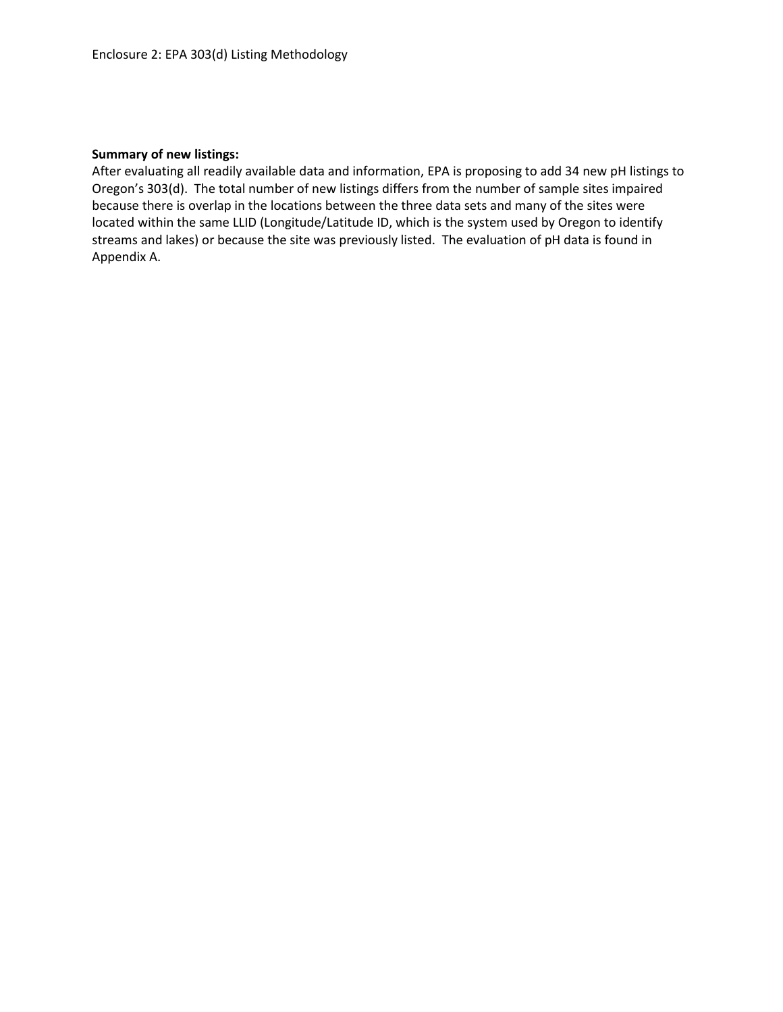#### **Summary of new listings:**

After evaluating all readily available data and information, EPA is proposing to add 34 new pH listings to Oregon's 303(d). The total number of new listings differs from the number of sample sites impaired because there is overlap in the locations between the three data sets and many of the sites were located within the same LLID (Longitude/Latitude ID, which is the system used by Oregon to identify streams and lakes) or because the site was previously listed. The evaluation of pH data is found in Appendix A.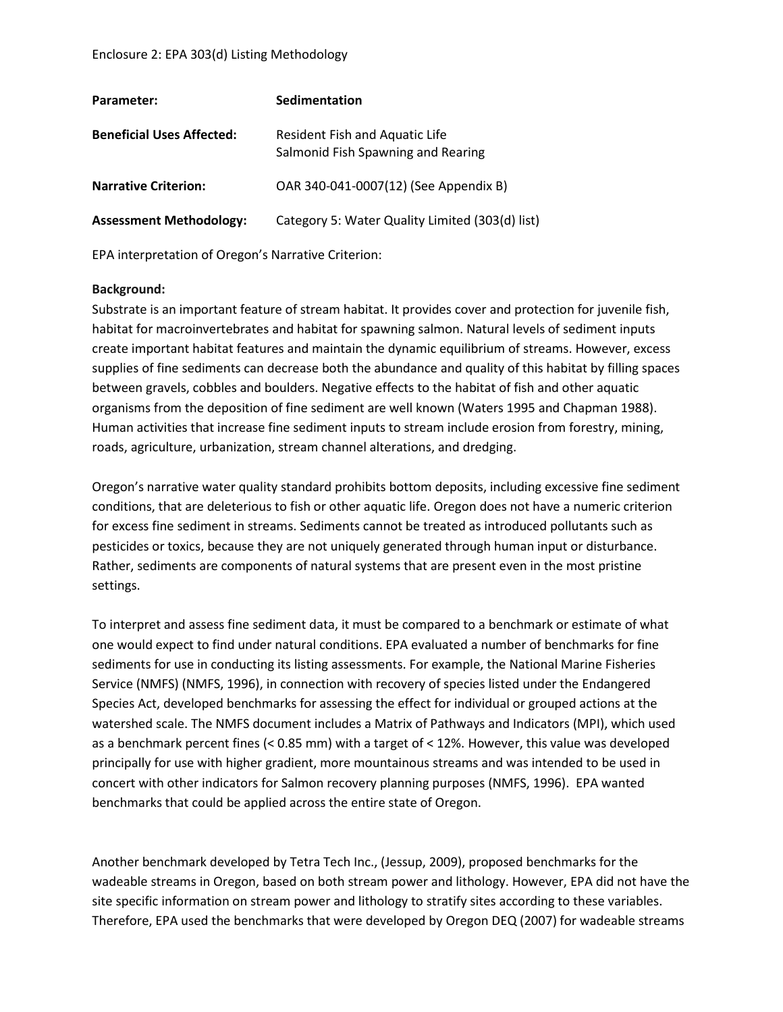| Parameter:                       | Sedimentation                                                        |  |  |  |  |
|----------------------------------|----------------------------------------------------------------------|--|--|--|--|
| <b>Beneficial Uses Affected:</b> | Resident Fish and Aquatic Life<br>Salmonid Fish Spawning and Rearing |  |  |  |  |
| <b>Narrative Criterion:</b>      | OAR 340-041-0007(12) (See Appendix B)                                |  |  |  |  |
| <b>Assessment Methodology:</b>   | Category 5: Water Quality Limited (303(d) list)                      |  |  |  |  |

EPA interpretation of Oregon's Narrative Criterion:

#### **Background:**

Substrate is an important feature of stream habitat. It provides cover and protection for juvenile fish, habitat for macroinvertebrates and habitat for spawning salmon. Natural levels of sediment inputs create important habitat features and maintain the dynamic equilibrium of streams. However, excess supplies of fine sediments can decrease both the abundance and quality of this habitat by filling spaces between gravels, cobbles and boulders. Negative effects to the habitat of fish and other aquatic organisms from the deposition of fine sediment are well known (Waters 1995 and Chapman 1988). Human activities that increase fine sediment inputs to stream include erosion from forestry, mining, roads, agriculture, urbanization, stream channel alterations, and dredging.

Oregon's narrative water quality standard prohibits bottom deposits, including excessive fine sediment conditions, that are deleterious to fish or other aquatic life. Oregon does not have a numeric criterion for excess fine sediment in streams. Sediments cannot be treated as introduced pollutants such as pesticides or toxics, because they are not uniquely generated through human input or disturbance. Rather, sediments are components of natural systems that are present even in the most pristine settings.

To interpret and assess fine sediment data, it must be compared to a benchmark or estimate of what one would expect to find under natural conditions. EPA evaluated a number of benchmarks for fine sediments for use in conducting its listing assessments. For example, the National Marine Fisheries Service (NMFS) (NMFS, 1996), in connection with recovery of species listed under the Endangered Species Act, developed benchmarks for assessing the effect for individual or grouped actions at the watershed scale. The NMFS document includes a Matrix of Pathways and Indicators (MPI), which used as a benchmark percent fines (< 0.85 mm) with a target of < 12%. However, this value was developed principally for use with higher gradient, more mountainous streams and was intended to be used in concert with other indicators for Salmon recovery planning purposes (NMFS, 1996). EPA wanted benchmarks that could be applied across the entire state of Oregon.

Another benchmark developed by Tetra Tech Inc., (Jessup, 2009), proposed benchmarks for the wadeable streams in Oregon, based on both stream power and lithology. However, EPA did not have the site specific information on stream power and lithology to stratify sites according to these variables. Therefore, EPA used the benchmarks that were developed by Oregon DEQ (2007) for wadeable streams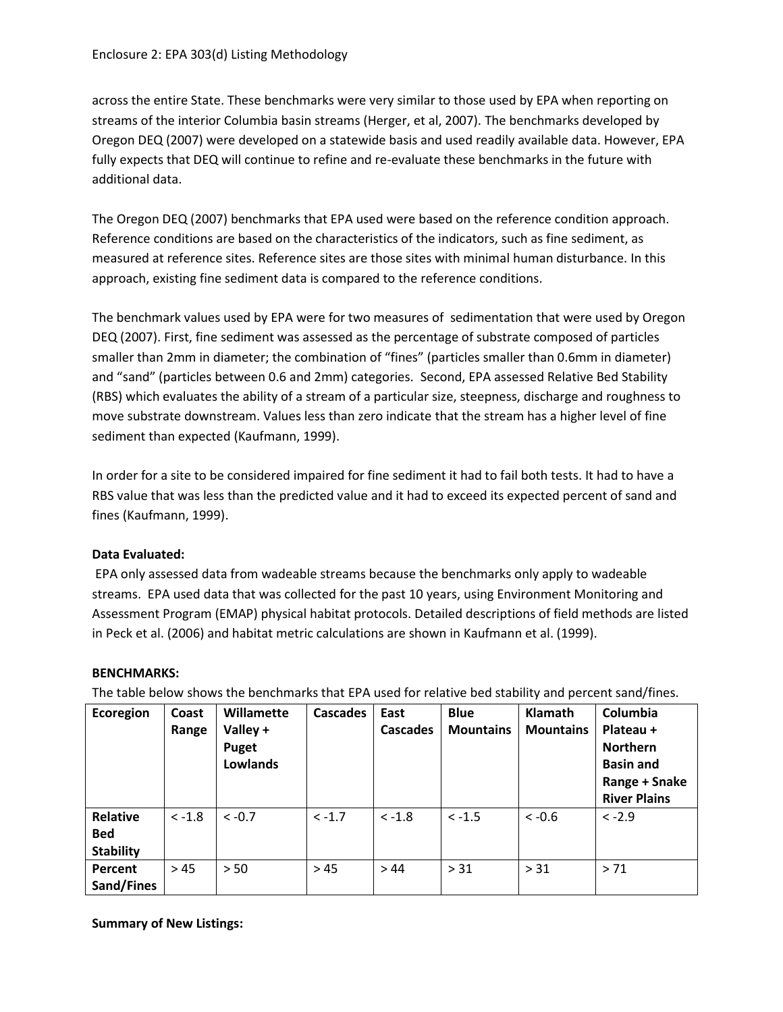across the entire State. These benchmarks were very similar to those used by EPA when reporting on streams of the interior Columbia basin streams (Herger, et al, 2007). The benchmarks developed by Oregon DEQ (2007) were developed on a statewide basis and used readily available data. However, EPA fully expects that DEQ will continue to refine and re-evaluate these benchmarks in the future with additional data.

The Oregon DEQ (2007) benchmarks that EPA used were based on the reference condition approach. Reference conditions are based on the characteristics of the indicators, such as fine sediment, as measured at reference sites. Reference sites are those sites with minimal human disturbance. In this approach, existing fine sediment data is compared to the reference conditions.

The benchmark values used by EPA were for two measures of sedimentation that were used by Oregon DEQ (2007). First, fine sediment was assessed as the percentage of substrate composed of particles smaller than 2mm in diameter; the combination of "fines" (particles smaller than 0.6mm in diameter) and "sand" (particles between 0.6 and 2mm) categories. Second, EPA assessed Relative Bed Stability (RBS) which evaluates the ability of a stream of a particular size, steepness, discharge and roughness to move substrate downstream. Values less than zero indicate that the stream has a higher level of fine sediment than expected (Kaufmann, 1999).

In order for a site to be considered impaired for fine sediment it had to fail both tests. It had to have a RBS value that was less than the predicted value and it had to exceed its expected percent of sand and fines (Kaufmann, 1999).

## **Data Evaluated:**

EPA only assessed data from wadeable streams because the benchmarks only apply to wadeable streams. EPA used data that was collected for the past 10 years, using Environment Monitoring and Assessment Program (EMAP) physical habitat protocols. Detailed descriptions of field methods are listed in Peck et al. (2006) and habitat metric calculations are shown in Kaufmann et al. (1999).

## **BENCHMARKS:**

The table below shows the benchmarks that EPA used for relative bed stability and percent sand/fines.

| Ecoregion                                  | Coast<br>Range | Willamette<br>Valley +<br>Puget<br><b>Lowlands</b> | <b>Cascades</b> | East<br><b>Cascades</b> | <b>Blue</b><br><b>Mountains</b> | <b>Klamath</b><br><b>Mountains</b> | Columbia<br>Plateau +<br><b>Northern</b><br><b>Basin and</b><br>Range + Snake<br><b>River Plains</b> |
|--------------------------------------------|----------------|----------------------------------------------------|-----------------|-------------------------|---------------------------------|------------------------------------|------------------------------------------------------------------------------------------------------|
| Relative<br><b>Bed</b><br><b>Stability</b> | $< -1.8$       | $<-0.7$                                            | $< -1.7$        | $<-1.8$                 | $< -1.5$                        | $<-0.6$                            | $<-2.9$                                                                                              |
| Percent<br>Sand/Fines                      | >45            | > 50                                               | >45             | >44                     | > 31                            | > 31                               | > 71                                                                                                 |

**Summary of New Listings:**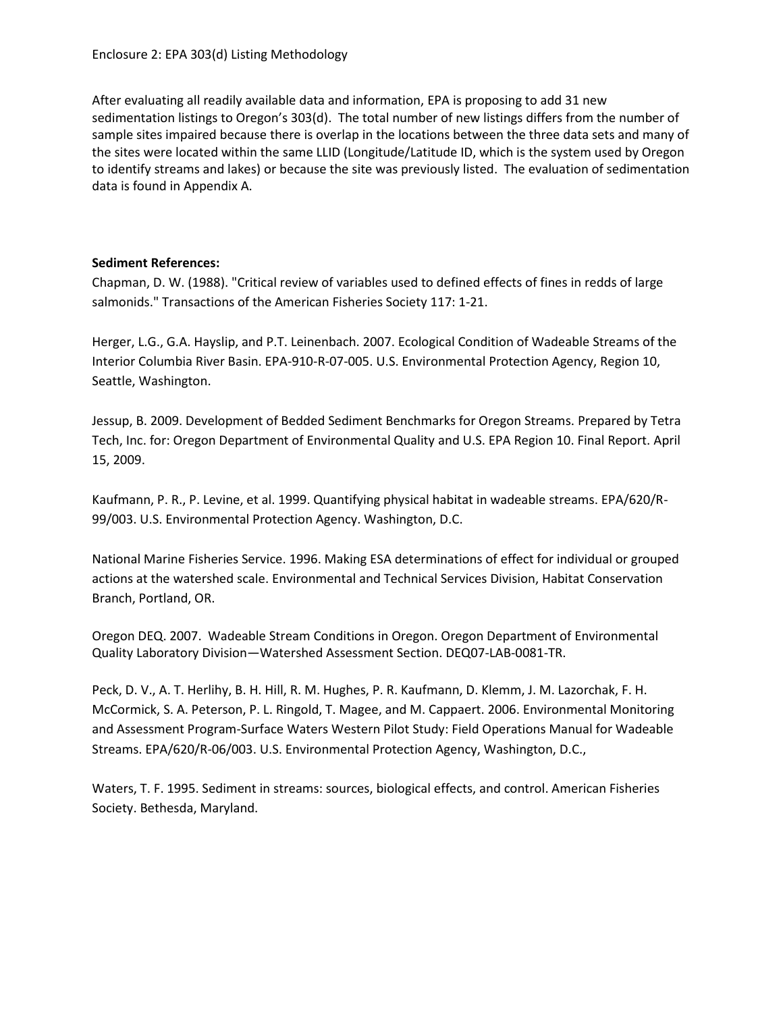After evaluating all readily available data and information, EPA is proposing to add 31 new sedimentation listings to Oregon's 303(d). The total number of new listings differs from the number of sample sites impaired because there is overlap in the locations between the three data sets and many of the sites were located within the same LLID (Longitude/Latitude ID, which is the system used by Oregon to identify streams and lakes) or because the site was previously listed. The evaluation of sedimentation data is found in Appendix A.

### **Sediment References:**

Chapman, D. W. (1988). "Critical review of variables used to defined effects of fines in redds of large salmonids." Transactions of the American Fisheries Society 117: 1-21.

Herger, L.G., G.A. Hayslip, and P.T. Leinenbach. 2007. Ecological Condition of Wadeable Streams of the Interior Columbia River Basin. EPA-910-R-07-005. U.S. Environmental Protection Agency, Region 10, Seattle, Washington.

Jessup, B. 2009. Development of Bedded Sediment Benchmarks for Oregon Streams. Prepared by Tetra Tech, Inc. for: Oregon Department of Environmental Quality and U.S. EPA Region 10. Final Report. April 15, 2009.

Kaufmann, P. R., P. Levine, et al. 1999. Quantifying physical habitat in wadeable streams. EPA/620/R-99/003. U.S. Environmental Protection Agency. Washington, D.C.

National Marine Fisheries Service. 1996. Making ESA determinations of effect for individual or grouped actions at the watershed scale. Environmental and Technical Services Division, Habitat Conservation Branch, Portland, OR.

Oregon DEQ. 2007. Wadeable Stream Conditions in Oregon. Oregon Department of Environmental Quality Laboratory Division—Watershed Assessment Section. DEQ07-LAB-0081-TR.

Peck, D. V., A. T. Herlihy, B. H. Hill, R. M. Hughes, P. R. Kaufmann, D. Klemm, J. M. Lazorchak, F. H. McCormick, S. A. Peterson, P. L. Ringold, T. Magee, and M. Cappaert. 2006. Environmental Monitoring and Assessment Program-Surface Waters Western Pilot Study: Field Operations Manual for Wadeable Streams. EPA/620/R-06/003. U.S. Environmental Protection Agency, Washington, D.C.,

Waters, T. F. 1995. Sediment in streams: sources, biological effects, and control. American Fisheries Society. Bethesda, Maryland.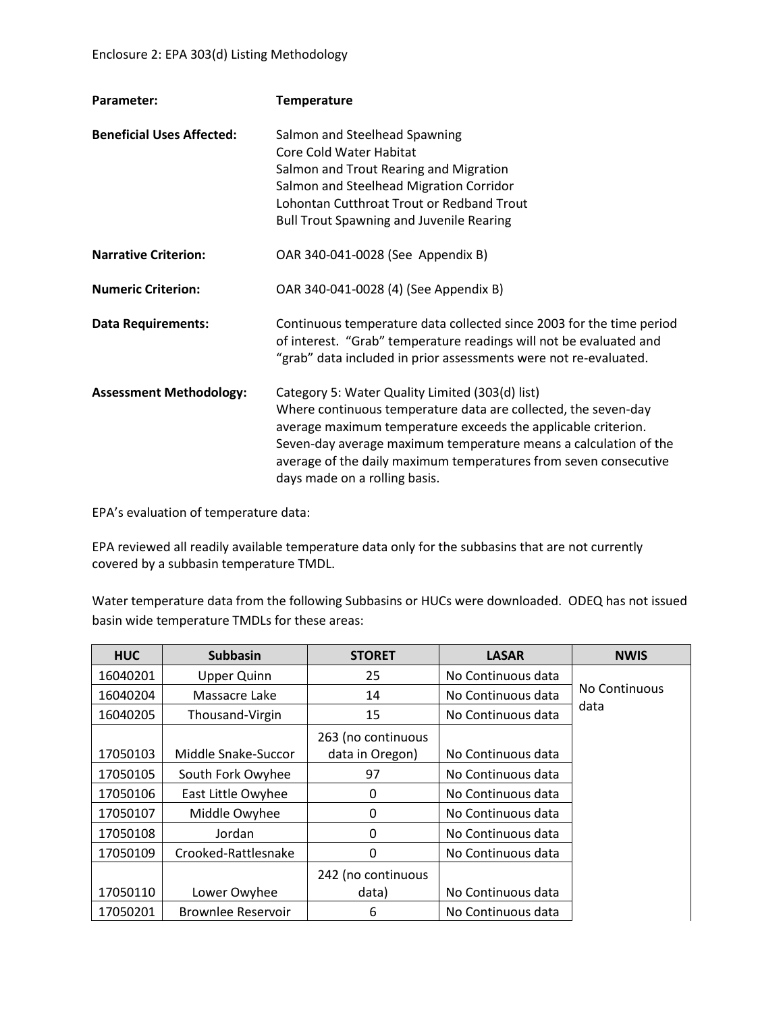| Parameter:                       | <b>Temperature</b>                                                                                                                                                                                                                                                                                                                                          |
|----------------------------------|-------------------------------------------------------------------------------------------------------------------------------------------------------------------------------------------------------------------------------------------------------------------------------------------------------------------------------------------------------------|
| <b>Beneficial Uses Affected:</b> | Salmon and Steelhead Spawning<br>Core Cold Water Habitat<br>Salmon and Trout Rearing and Migration<br>Salmon and Steelhead Migration Corridor<br>Lohontan Cutthroat Trout or Redband Trout<br><b>Bull Trout Spawning and Juvenile Rearing</b>                                                                                                               |
| <b>Narrative Criterion:</b>      | OAR 340-041-0028 (See Appendix B)                                                                                                                                                                                                                                                                                                                           |
| <b>Numeric Criterion:</b>        | OAR 340-041-0028 (4) (See Appendix B)                                                                                                                                                                                                                                                                                                                       |
| <b>Data Requirements:</b>        | Continuous temperature data collected since 2003 for the time period<br>of interest. "Grab" temperature readings will not be evaluated and<br>"grab" data included in prior assessments were not re-evaluated.                                                                                                                                              |
| <b>Assessment Methodology:</b>   | Category 5: Water Quality Limited (303(d) list)<br>Where continuous temperature data are collected, the seven-day<br>average maximum temperature exceeds the applicable criterion.<br>Seven-day average maximum temperature means a calculation of the<br>average of the daily maximum temperatures from seven consecutive<br>days made on a rolling basis. |

EPA's evaluation of temperature data:

EPA reviewed all readily available temperature data only for the subbasins that are not currently covered by a subbasin temperature TMDL.

Water temperature data from the following Subbasins or HUCs were downloaded. ODEQ has not issued basin wide temperature TMDLs for these areas:

| <b>HUC</b> | <b>Subbasin</b>     | <b>STORET</b>                         | <b>LASAR</b>       | <b>NWIS</b>   |
|------------|---------------------|---------------------------------------|--------------------|---------------|
| 16040201   | <b>Upper Quinn</b>  | 25                                    | No Continuous data |               |
| 16040204   | Massacre Lake       | 14                                    | No Continuous data | No Continuous |
| 16040205   | Thousand-Virgin     | 15                                    | No Continuous data | data          |
| 17050103   | Middle Snake-Succor | 263 (no continuous<br>data in Oregon) | No Continuous data |               |
| 17050105   | South Fork Owyhee   | 97                                    | No Continuous data |               |
| 17050106   | East Little Owyhee  | 0                                     | No Continuous data |               |
| 17050107   | Middle Owyhee       | 0                                     | No Continuous data |               |
| 17050108   | Jordan              | 0                                     | No Continuous data |               |
| 17050109   | Crooked-Rattlesnake | 0                                     | No Continuous data |               |
| 17050110   | Lower Owyhee        | 242 (no continuous<br>data)           | No Continuous data |               |
| 17050201   | Brownlee Reservoir  | 6                                     | No Continuous data |               |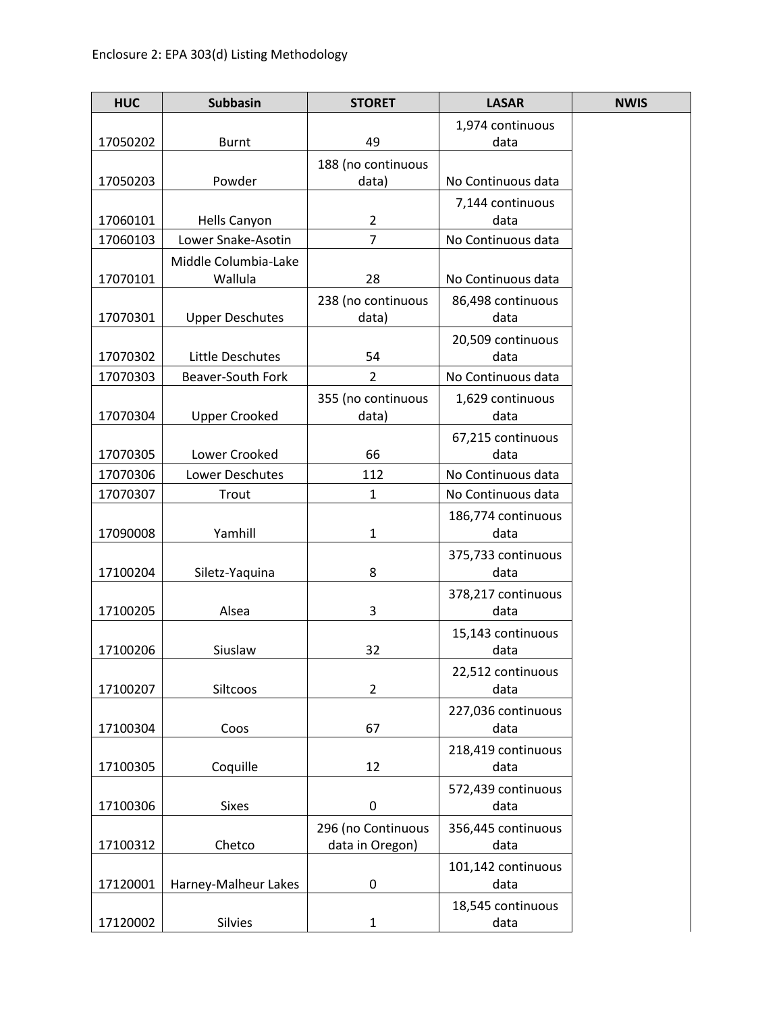| <b>HUC</b> | Subbasin               | <b>STORET</b>      | <b>LASAR</b>       | <b>NWIS</b> |
|------------|------------------------|--------------------|--------------------|-------------|
|            |                        |                    | 1,974 continuous   |             |
| 17050202   | <b>Burnt</b>           | 49                 | data               |             |
|            |                        | 188 (no continuous |                    |             |
| 17050203   | Powder                 | data)              | No Continuous data |             |
|            |                        |                    | 7,144 continuous   |             |
| 17060101   | Hells Canyon           | $\overline{2}$     | data               |             |
| 17060103   | Lower Snake-Asotin     | $\overline{7}$     | No Continuous data |             |
|            | Middle Columbia-Lake   |                    |                    |             |
| 17070101   | Wallula                | 28                 | No Continuous data |             |
|            |                        | 238 (no continuous | 86,498 continuous  |             |
| 17070301   | <b>Upper Deschutes</b> | data)              | data               |             |
|            |                        |                    | 20,509 continuous  |             |
| 17070302   | Little Deschutes       | 54                 | data               |             |
| 17070303   | Beaver-South Fork      | $\overline{2}$     | No Continuous data |             |
|            |                        | 355 (no continuous | 1,629 continuous   |             |
| 17070304   | <b>Upper Crooked</b>   | data)              | data               |             |
|            |                        |                    | 67,215 continuous  |             |
| 17070305   | Lower Crooked          | 66                 | data               |             |
| 17070306   | Lower Deschutes        | 112                | No Continuous data |             |
| 17070307   | Trout                  | $\mathbf{1}$       | No Continuous data |             |
|            |                        |                    | 186,774 continuous |             |
| 17090008   | Yamhill                | $\mathbf{1}$       | data               |             |
|            |                        |                    | 375,733 continuous |             |
| 17100204   | Siletz-Yaquina         | 8                  | data               |             |
|            |                        |                    | 378,217 continuous |             |
| 17100205   | Alsea                  | 3                  | data               |             |
|            |                        |                    | 15,143 continuous  |             |
| 17100206   | Siuslaw                | 32                 | data               |             |
|            |                        |                    | 22,512 continuous  |             |
| 17100207   | Siltcoos               | $\overline{2}$     | data               |             |
|            |                        |                    | 227,036 continuous |             |
| 17100304   | Coos                   | 67                 | data               |             |
|            |                        |                    | 218,419 continuous |             |
| 17100305   | Coquille               | 12                 | data               |             |
|            |                        |                    | 572,439 continuous |             |
| 17100306   | <b>Sixes</b>           | 0                  | data               |             |
|            |                        | 296 (no Continuous | 356,445 continuous |             |
| 17100312   | Chetco                 | data in Oregon)    | data               |             |
|            |                        |                    | 101,142 continuous |             |
| 17120001   | Harney-Malheur Lakes   | $\pmb{0}$          | data               |             |
|            |                        |                    | 18,545 continuous  |             |
| 17120002   | Silvies                | $\mathbf{1}$       | data               |             |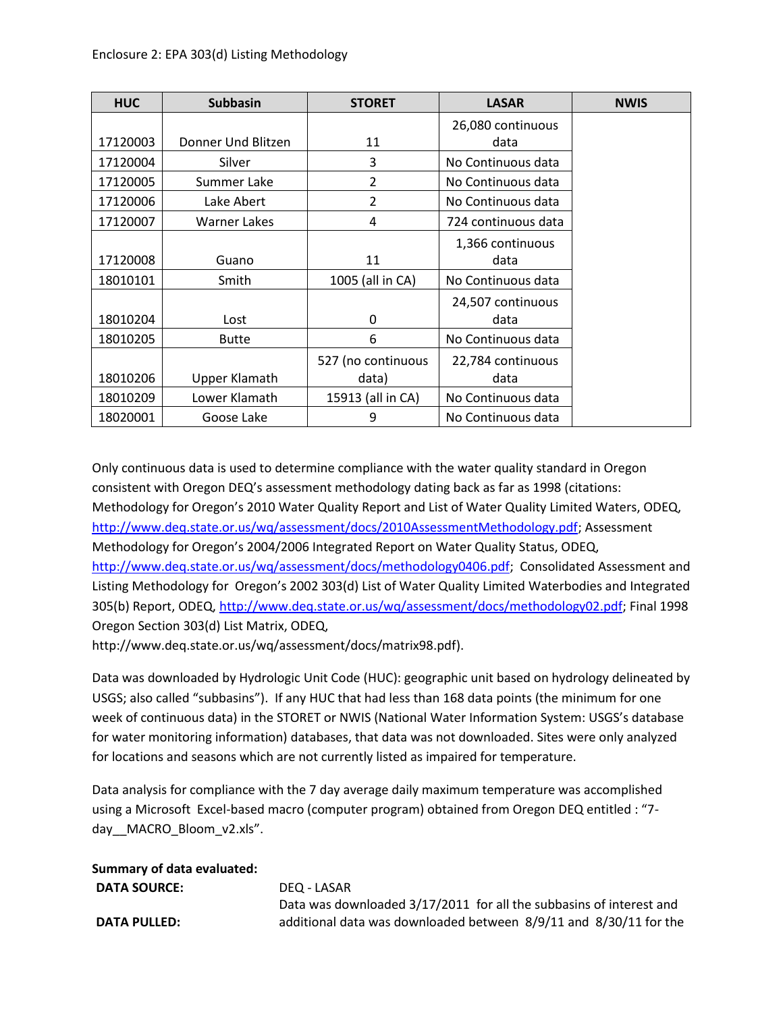| <b>HUC</b> | <b>Subbasin</b>     | <b>STORET</b>               | <b>LASAR</b>              | <b>NWIS</b> |
|------------|---------------------|-----------------------------|---------------------------|-------------|
| 17120003   | Donner Und Blitzen  | 11                          | 26,080 continuous<br>data |             |
| 17120004   | Silver              | 3                           | No Continuous data        |             |
| 17120005   | Summer Lake         | 2                           | No Continuous data        |             |
| 17120006   | Lake Abert          | 2                           | No Continuous data        |             |
| 17120007   | <b>Warner Lakes</b> | 4                           | 724 continuous data       |             |
| 17120008   | Guano               | 11                          | 1,366 continuous<br>data  |             |
| 18010101   | Smith               | 1005 (all in CA)            | No Continuous data        |             |
| 18010204   | Lost                | 0                           | 24,507 continuous<br>data |             |
| 18010205   | <b>Butte</b>        | 6                           | No Continuous data        |             |
| 18010206   | Upper Klamath       | 527 (no continuous<br>data) | 22,784 continuous<br>data |             |
| 18010209   | Lower Klamath       | 15913 (all in CA)           | No Continuous data        |             |
| 18020001   | Goose Lake          | 9                           | No Continuous data        |             |

Only continuous data is used to determine compliance with the water quality standard in Oregon consistent with Oregon DEQ's assessment methodology dating back as far as 1998 (citations: Methodology for Oregon's 2010 Water Quality Report and List of Water Quality Limited Waters, ODEQ, [http://www.deq.state.or.us/wq/assessment/docs/2010AssessmentMethodology.pdf;](http://www.deq.state.or.us/wq/assessment/docs/2010AssessmentMethodology.pdf) Assessment Methodology for Oregon's 2004/2006 Integrated Report on Water Quality Status, ODEQ, [http://www.deq.state.or.us/wq/assessment/docs/methodology0406.pdf;](http://www.deq.state.or.us/wq/assessment/docs/methodology0406.pdf) Consolidated Assessment and Listing Methodology for Oregon's 2002 303(d) List of Water Quality Limited Waterbodies and Integrated 305(b) Report, ODEQ[, http://www.deq.state.or.us/wq/assessment/docs/methodology02.pdf;](http://www.deq.state.or.us/wq/assessment/docs/methodology02.pdf) Final 1998 Oregon Section 303(d) List Matrix, ODEQ,

http://www.deq.state.or.us/wq/assessment/docs/matrix98.pdf).

Data was downloaded by Hydrologic Unit Code (HUC): geographic unit based on hydrology delineated by USGS; also called "subbasins"). If any HUC that had less than 168 data points (the minimum for one week of continuous data) in the STORET or NWIS (National Water Information System: USGS's database for water monitoring information) databases, that data was not downloaded. Sites were only analyzed for locations and seasons which are not currently listed as impaired for temperature.

Data analysis for compliance with the 7 day average daily maximum temperature was accomplished using a Microsoft Excel-based macro (computer program) obtained from Oregon DEQ entitled : "7 day\_\_MACRO\_Bloom\_v2.xls".

| Summary of data evaluated: |                                                                     |
|----------------------------|---------------------------------------------------------------------|
| <b>DATA SOURCE:</b>        | DEO - LASAR                                                         |
|                            | Data was downloaded 3/17/2011 for all the subbasins of interest and |
| <b>DATA PULLED:</b>        | additional data was downloaded between 8/9/11 and 8/30/11 for the   |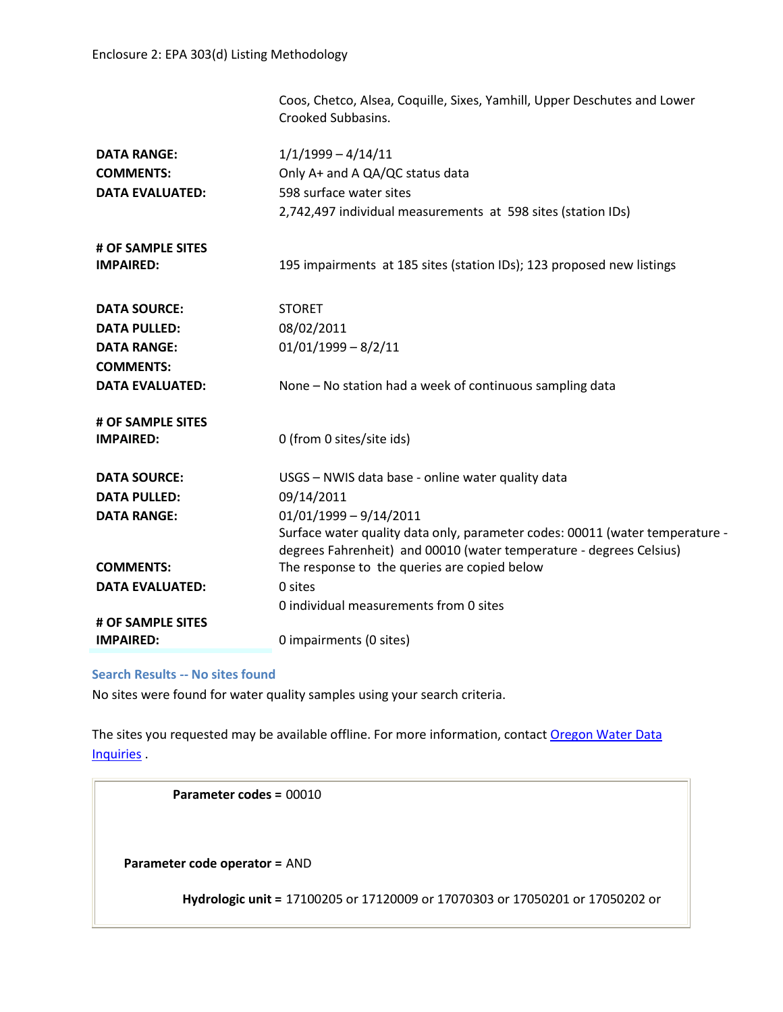|                        | Coos, Chetco, Alsea, Coquille, Sixes, Yamhill, Upper Deschutes and Lower<br>Crooked Subbasins. |
|------------------------|------------------------------------------------------------------------------------------------|
| <b>DATA RANGE:</b>     | $1/1/1999 - 4/14/11$                                                                           |
| <b>COMMENTS:</b>       | Only A+ and A QA/QC status data                                                                |
| <b>DATA EVALUATED:</b> | 598 surface water sites                                                                        |
|                        | 2,742,497 individual measurements at 598 sites (station IDs)                                   |
| # OF SAMPLE SITES      |                                                                                                |
| <b>IMPAIRED:</b>       | 195 impairments at 185 sites (station IDs); 123 proposed new listings                          |
| <b>DATA SOURCE:</b>    | <b>STORET</b>                                                                                  |
| <b>DATA PULLED:</b>    | 08/02/2011                                                                                     |
| <b>DATA RANGE:</b>     | $01/01/1999 - 8/2/11$                                                                          |
| <b>COMMENTS:</b>       |                                                                                                |
| <b>DATA EVALUATED:</b> | None - No station had a week of continuous sampling data                                       |
| # OF SAMPLE SITES      |                                                                                                |
| <b>IMPAIRED:</b>       | 0 (from 0 sites/site ids)                                                                      |
| <b>DATA SOURCE:</b>    | USGS - NWIS data base - online water quality data                                              |
| <b>DATA PULLED:</b>    | 09/14/2011                                                                                     |
| <b>DATA RANGE:</b>     | $01/01/1999 - 9/14/2011$                                                                       |
|                        | Surface water quality data only, parameter codes: 00011 (water temperature -                   |
| <b>COMMENTS:</b>       | degrees Fahrenheit) and 00010 (water temperature - degrees Celsius)                            |
| <b>DATA EVALUATED:</b> | The response to the queries are copied below<br>0 sites                                        |
|                        | 0 individual measurements from 0 sites                                                         |
| # OF SAMPLE SITES      |                                                                                                |
| <b>IMPAIRED:</b>       | 0 impairments (0 sites)                                                                        |
|                        |                                                                                                |

## **Search Results -- No sites found**

No sites were found for water quality samples using your search criteria.

The sites you requested may be available offline. For more information, contact Oregon Water Data [Inquiries](http://nwis.waterdata.usgs.gov/or/nwis/feedback/?to=Oregon%20Water%20Data%20Inquiries) .

**Parameter codes =** 00010

**Parameter code operator =** AND

**Hydrologic unit =** 17100205 or 17120009 or 17070303 or 17050201 or 17050202 or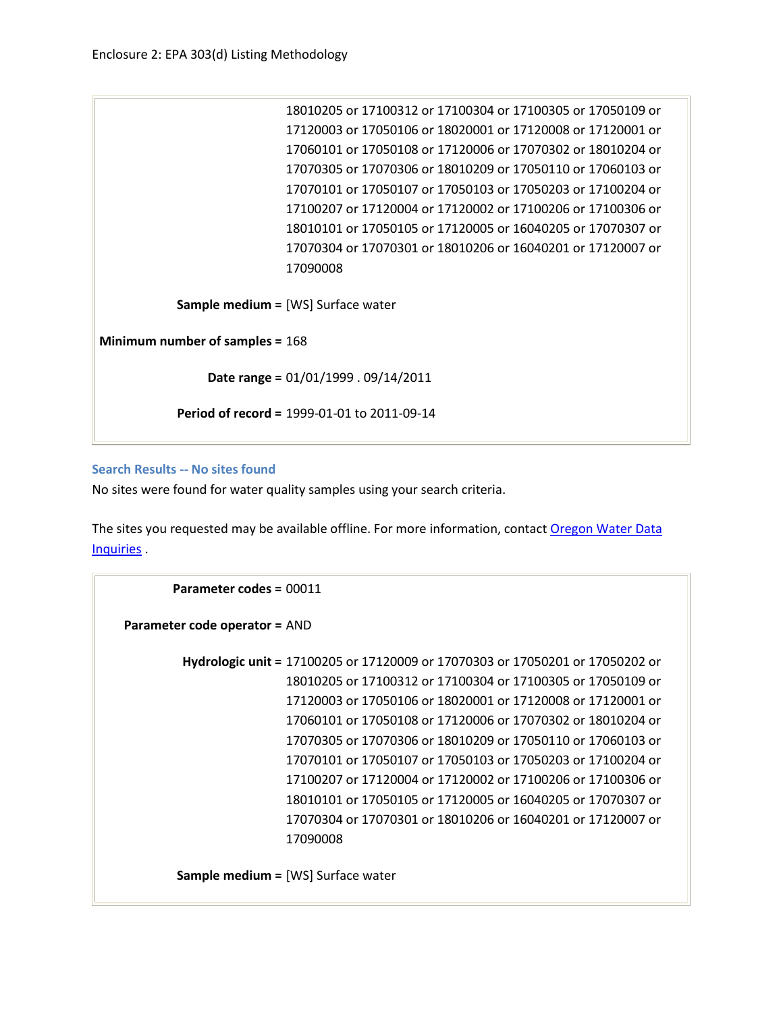18010205 or 17100312 or 17100304 or 17100305 or 17050109 or 17120003 or 17050106 or 18020001 or 17120008 or 17120001 or 17060101 or 17050108 or 17120006 or 17070302 or 18010204 or 17070305 or 17070306 or 18010209 or 17050110 or 17060103 or 17070101 or 17050107 or 17050103 or 17050203 or 17100204 or 17100207 or 17120004 or 17120002 or 17100206 or 17100306 or 18010101 or 17050105 or 17120005 or 16040205 or 17070307 or 17070304 or 17070301 or 18010206 or 16040201 or 17120007 or 17090008

**Sample medium =** [WS] Surface water

**Minimum number of samples =** 168

**Date range =** 01/01/1999 . 09/14/2011

**Period of record =** 1999-01-01 to 2011-09-14

#### **Search Results -- No sites found**

No sites were found for water quality samples using your search criteria.

The sites you requested may be available offline. For more information, contact Oregon Water Data [Inquiries](http://nwis.waterdata.usgs.gov/or/nwis/feedback/?to=Oregon%20Water%20Data%20Inquiries) .

| Parameter codes = $00011$                 |                                                                               |
|-------------------------------------------|-------------------------------------------------------------------------------|
| Parameter code operator = AND             |                                                                               |
|                                           | Hydrologic unit = 17100205 or 17120009 or 17070303 or 17050201 or 17050202 or |
|                                           | 18010205 or 17100312 or 17100304 or 17100305 or 17050109 or                   |
|                                           | 17120003 or 17050106 or 18020001 or 17120008 or 17120001 or                   |
|                                           | 17060101 or 17050108 or 17120006 or 17070302 or 18010204 or                   |
|                                           | 17070305 or 17070306 or 18010209 or 17050110 or 17060103 or                   |
|                                           | 17070101 or 17050107 or 17050103 or 17050203 or 17100204 or                   |
|                                           | 17100207 or 17120004 or 17120002 or 17100206 or 17100306 or                   |
|                                           | 18010101 or 17050105 or 17120005 or 16040205 or 17070307 or                   |
|                                           | 17070304 or 17070301 or 18010206 or 16040201 or 17120007 or                   |
| 17090008                                  |                                                                               |
| <b>Sample medium = [WS] Surface water</b> |                                                                               |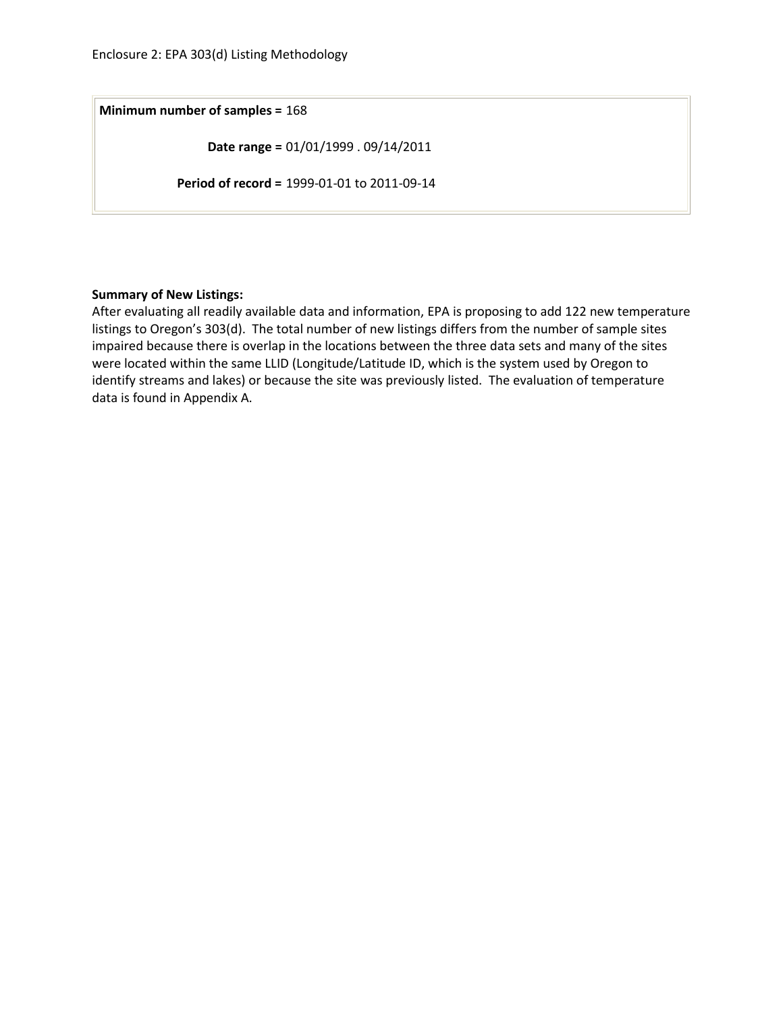**Minimum number of samples =** 168

**Date range =** 01/01/1999 . 09/14/2011

**Period of record =** 1999-01-01 to 2011-09-14

#### **Summary of New Listings:**

After evaluating all readily available data and information, EPA is proposing to add 122 new temperature listings to Oregon's 303(d). The total number of new listings differs from the number of sample sites impaired because there is overlap in the locations between the three data sets and many of the sites were located within the same LLID (Longitude/Latitude ID, which is the system used by Oregon to identify streams and lakes) or because the site was previously listed. The evaluation of temperature data is found in Appendix A.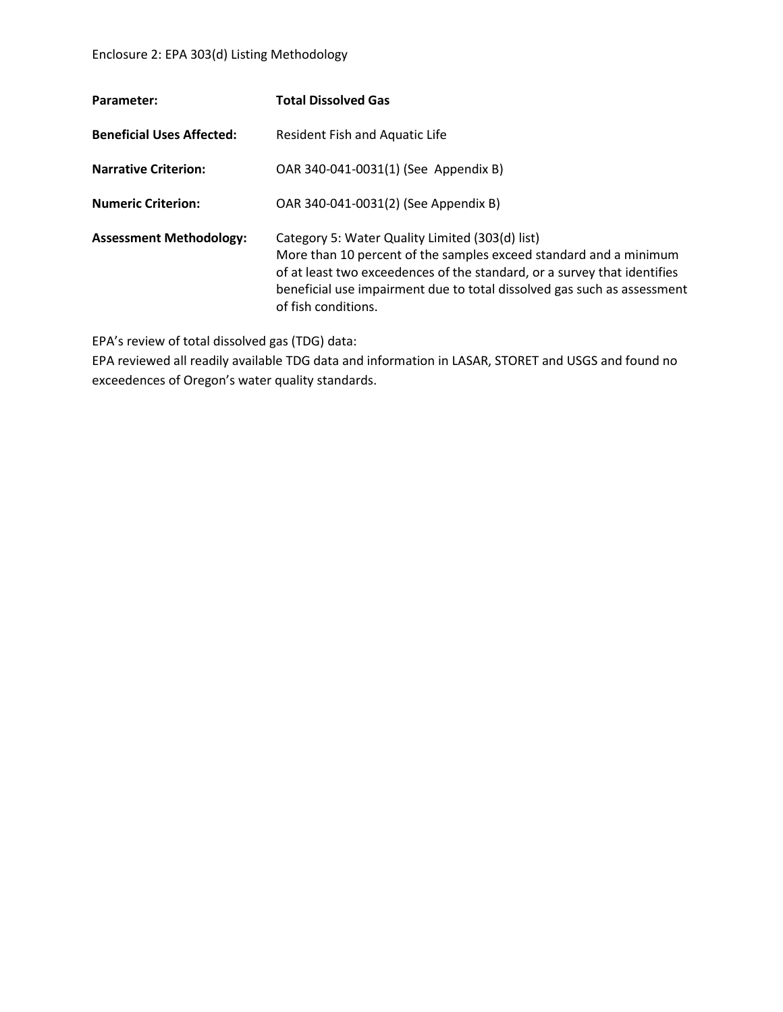| Parameter:                       | <b>Total Dissolved Gas</b>                                                                                                                                                                                                                                                                         |
|----------------------------------|----------------------------------------------------------------------------------------------------------------------------------------------------------------------------------------------------------------------------------------------------------------------------------------------------|
| <b>Beneficial Uses Affected:</b> | Resident Fish and Aquatic Life                                                                                                                                                                                                                                                                     |
| <b>Narrative Criterion:</b>      | OAR 340-041-0031(1) (See Appendix B)                                                                                                                                                                                                                                                               |
| <b>Numeric Criterion:</b>        | OAR 340-041-0031(2) (See Appendix B)                                                                                                                                                                                                                                                               |
| <b>Assessment Methodology:</b>   | Category 5: Water Quality Limited (303(d) list)<br>More than 10 percent of the samples exceed standard and a minimum<br>of at least two exceedences of the standard, or a survey that identifies<br>beneficial use impairment due to total dissolved gas such as assessment<br>of fish conditions. |

EPA's review of total dissolved gas (TDG) data:

EPA reviewed all readily available TDG data and information in LASAR, STORET and USGS and found no exceedences of Oregon's water quality standards.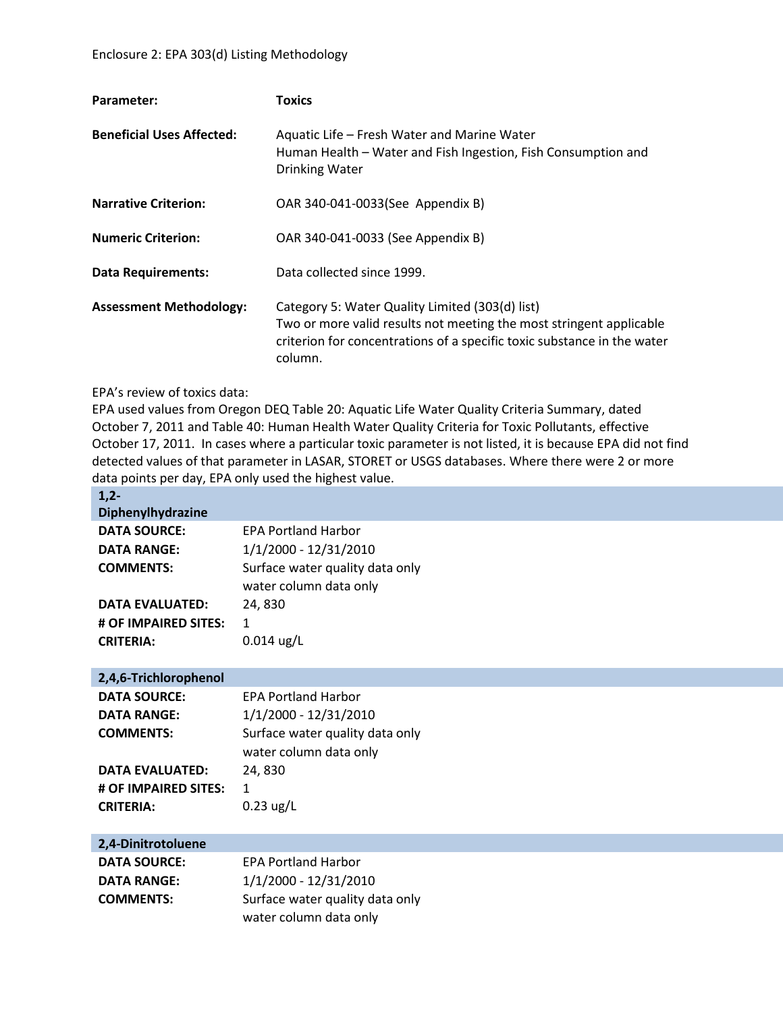| Parameter:                       | <b>Toxics</b>                                                                                                                                                                                                |
|----------------------------------|--------------------------------------------------------------------------------------------------------------------------------------------------------------------------------------------------------------|
| <b>Beneficial Uses Affected:</b> | Aquatic Life – Fresh Water and Marine Water<br>Human Health - Water and Fish Ingestion, Fish Consumption and<br><b>Drinking Water</b>                                                                        |
| <b>Narrative Criterion:</b>      | OAR 340-041-0033(See Appendix B)                                                                                                                                                                             |
| <b>Numeric Criterion:</b>        | OAR 340-041-0033 (See Appendix B)                                                                                                                                                                            |
| <b>Data Requirements:</b>        | Data collected since 1999.                                                                                                                                                                                   |
| <b>Assessment Methodology:</b>   | Category 5: Water Quality Limited (303(d) list)<br>Two or more valid results not meeting the most stringent applicable<br>criterion for concentrations of a specific toxic substance in the water<br>column. |

#### EPA's review of toxics data:

EPA used values from Oregon DEQ Table 20: Aquatic Life Water Quality Criteria Summary, dated October 7, 2011 and Table 40: Human Health Water Quality Criteria for Toxic Pollutants, effective October 17, 2011. In cases where a particular toxic parameter is not listed, it is because EPA did not find detected values of that parameter in LASAR, STORET or USGS databases. Where there were 2 or more data points per day, EPA only used the highest value.

| $1,2-$<br>Diphenylhydrazine |                                                           |
|-----------------------------|-----------------------------------------------------------|
| <b>DATA SOURCE:</b>         | <b>EPA Portland Harbor</b>                                |
| <b>DATA RANGE:</b>          | 1/1/2000 - 12/31/2010                                     |
| <b>COMMENTS:</b>            | Surface water quality data only                           |
|                             | water column data only                                    |
| <b>DATA EVALUATED:</b>      | 24,830                                                    |
| # OF IMPAIRED SITES:        | $\mathbf{1}$                                              |
| <b>CRITERIA:</b>            | $0.014$ ug/L                                              |
|                             |                                                           |
| 2,4,6-Trichlorophenol       |                                                           |
| <b>DATA SOURCE:</b>         | <b>EPA Portland Harbor</b>                                |
| <b>DATA RANGE:</b>          | 1/1/2000 - 12/31/2010                                     |
| <b>COMMENTS:</b>            | Surface water quality data only<br>water column data only |
| <b>DATA EVALUATED:</b>      | 24,830                                                    |
| # OF IMPAIRED SITES:        | $\mathbf{1}$                                              |
| <b>CRITERIA:</b>            | $0.23$ ug/L                                               |
|                             |                                                           |
| 2,4-Dinitrotoluene          |                                                           |
| <b>DATA SOURCE:</b>         | <b>EPA Portland Harbor</b>                                |
| <b>DATA RANGE:</b>          | 1/1/2000 - 12/31/2010                                     |
| <b>COMMENTS:</b>            | Surface water quality data only                           |
|                             | water column data only                                    |
|                             |                                                           |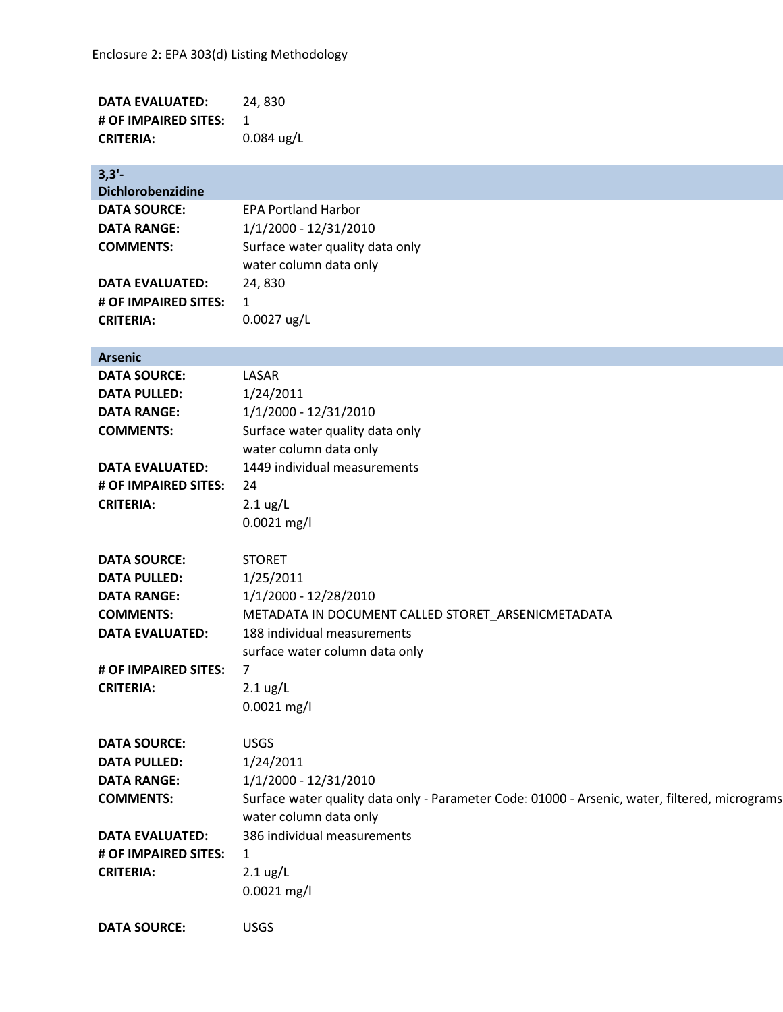| DATA EVALUATED:      | 24,830       |
|----------------------|--------------|
| # OF IMPAIRED SITES: |              |
| <b>CRITERIA:</b>     | $0.084$ ug/L |

| $3,3'-$                  |                                                                                                |
|--------------------------|------------------------------------------------------------------------------------------------|
| <b>Dichlorobenzidine</b> |                                                                                                |
| <b>DATA SOURCE:</b>      | <b>EPA Portland Harbor</b>                                                                     |
| <b>DATA RANGE:</b>       | 1/1/2000 - 12/31/2010                                                                          |
| <b>COMMENTS:</b>         | Surface water quality data only                                                                |
|                          | water column data only                                                                         |
| <b>DATA EVALUATED:</b>   | 24,830                                                                                         |
| # OF IMPAIRED SITES:     | $\mathbf{1}$                                                                                   |
| <b>CRITERIA:</b>         | 0.0027 ug/L                                                                                    |
|                          |                                                                                                |
| <b>Arsenic</b>           |                                                                                                |
| <b>DATA SOURCE:</b>      | LASAR                                                                                          |
| <b>DATA PULLED:</b>      | 1/24/2011                                                                                      |
|                          |                                                                                                |
| <b>DATA RANGE:</b>       | 1/1/2000 - 12/31/2010                                                                          |
| <b>COMMENTS:</b>         | Surface water quality data only                                                                |
|                          | water column data only                                                                         |
| <b>DATA EVALUATED:</b>   | 1449 individual measurements                                                                   |
| # OF IMPAIRED SITES:     | 24                                                                                             |
| <b>CRITERIA:</b>         | $2.1 \text{ ug/L}$                                                                             |
|                          | $0.0021$ mg/l                                                                                  |
|                          |                                                                                                |
| <b>DATA SOURCE:</b>      | <b>STORET</b>                                                                                  |
| <b>DATA PULLED:</b>      | 1/25/2011                                                                                      |
| <b>DATA RANGE:</b>       | 1/1/2000 - 12/28/2010                                                                          |
| <b>COMMENTS:</b>         | METADATA IN DOCUMENT CALLED STORET_ARSENICMETADATA                                             |
| <b>DATA EVALUATED:</b>   | 188 individual measurements                                                                    |
|                          | surface water column data only                                                                 |
| # OF IMPAIRED SITES:     | $\overline{7}$                                                                                 |
| <b>CRITERIA:</b>         | $2.1 \text{ ug/L}$                                                                             |
|                          | $0.0021$ mg/l                                                                                  |
|                          |                                                                                                |
| <b>DATA SOURCE:</b>      | <b>USGS</b>                                                                                    |
| <b>DATA PULLED:</b>      | 1/24/2011                                                                                      |
| <b>DATA RANGE:</b>       | 1/1/2000 - 12/31/2010                                                                          |
| <b>COMMENTS:</b>         | Surface water quality data only - Parameter Code: 01000 - Arsenic, water, filtered, micrograms |
|                          | water column data only                                                                         |
| <b>DATA EVALUATED:</b>   | 386 individual measurements                                                                    |
|                          |                                                                                                |
| # OF IMPAIRED SITES:     | 1                                                                                              |
| <b>CRITERIA:</b>         | $2.1 \text{ ug/L}$                                                                             |
|                          | $0.0021$ mg/l                                                                                  |
|                          |                                                                                                |
| <b>DATA SOURCE:</b>      | <b>USGS</b>                                                                                    |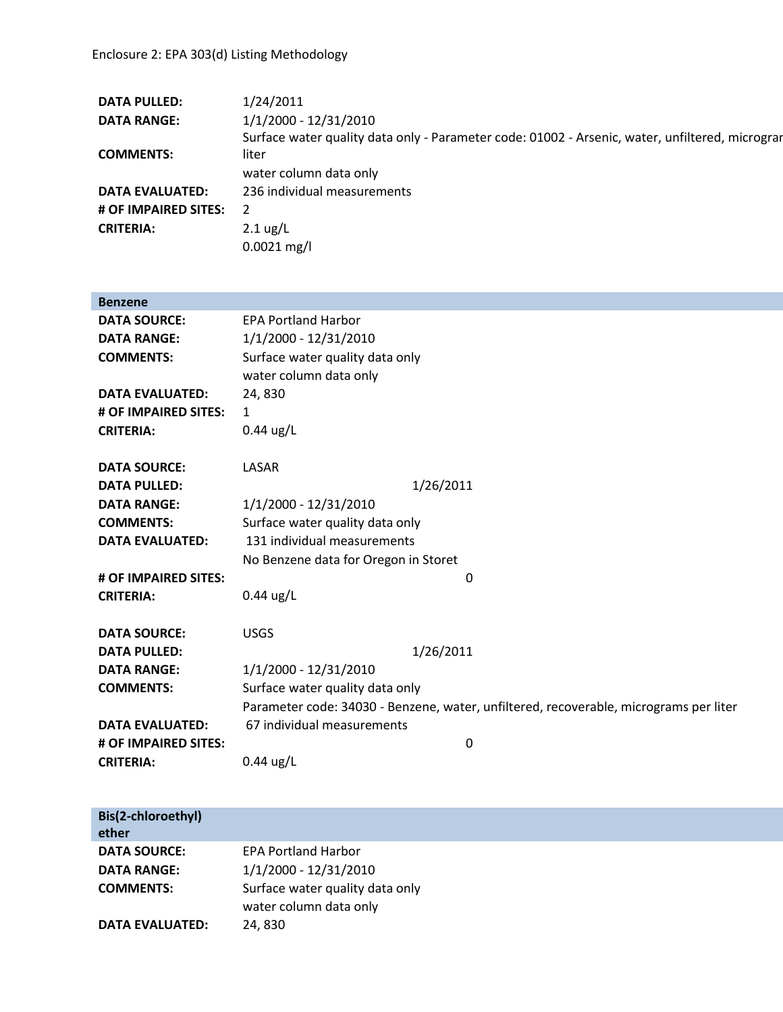| <b>DATA PULLED:</b>    | 1/24/2011                                                                                       |
|------------------------|-------------------------------------------------------------------------------------------------|
| <b>DATA RANGE:</b>     | 1/1/2000 - 12/31/2010                                                                           |
|                        | Surface water quality data only - Parameter code: 01002 - Arsenic, water, unfiltered, micrograr |
| <b>COMMENTS:</b>       | liter                                                                                           |
|                        | water column data only                                                                          |
| <b>DATA EVALUATED:</b> | 236 individual measurements                                                                     |
| # OF IMPAIRED SITES:   |                                                                                                 |
| <b>CRITERIA:</b>       | $2.1 \text{ ug/L}$                                                                              |
|                        | $0.0021$ mg/l                                                                                   |
|                        |                                                                                                 |

| <b>Benzene</b>         |                                                                                       |  |  |
|------------------------|---------------------------------------------------------------------------------------|--|--|
| <b>DATA SOURCE:</b>    | <b>EPA Portland Harbor</b>                                                            |  |  |
| <b>DATA RANGE:</b>     | 1/1/2000 - 12/31/2010                                                                 |  |  |
| <b>COMMENTS:</b>       | Surface water quality data only                                                       |  |  |
|                        | water column data only                                                                |  |  |
| <b>DATA EVALUATED:</b> | 24,830                                                                                |  |  |
| # OF IMPAIRED SITES:   | 1                                                                                     |  |  |
| <b>CRITERIA:</b>       | $0.44$ ug/L                                                                           |  |  |
| <b>DATA SOURCE:</b>    | LASAR                                                                                 |  |  |
| <b>DATA PULLED:</b>    | 1/26/2011                                                                             |  |  |
| <b>DATA RANGE:</b>     | 1/1/2000 - 12/31/2010                                                                 |  |  |
| <b>COMMENTS:</b>       | Surface water quality data only                                                       |  |  |
| <b>DATA EVALUATED:</b> | 131 individual measurements                                                           |  |  |
|                        | No Benzene data for Oregon in Storet                                                  |  |  |
| # OF IMPAIRED SITES:   | 0                                                                                     |  |  |
| <b>CRITERIA:</b>       | $0.44$ ug/L                                                                           |  |  |
| <b>DATA SOURCE:</b>    | <b>USGS</b>                                                                           |  |  |
| <b>DATA PULLED:</b>    | 1/26/2011                                                                             |  |  |
| <b>DATA RANGE:</b>     | 1/1/2000 - 12/31/2010                                                                 |  |  |
| <b>COMMENTS:</b>       | Surface water quality data only                                                       |  |  |
|                        | Parameter code: 34030 - Benzene, water, unfiltered, recoverable, micrograms per liter |  |  |
| <b>DATA EVALUATED:</b> | 67 individual measurements                                                            |  |  |
| # OF IMPAIRED SITES:   | 0                                                                                     |  |  |
| <b>CRITERIA:</b>       | $0.44$ ug/L                                                                           |  |  |

| Bis(2-chloroethyl)<br>ether |                                                           |
|-----------------------------|-----------------------------------------------------------|
| <b>DATA SOURCE:</b>         | <b>EPA Portland Harbor</b>                                |
| <b>DATA RANGE:</b>          | 1/1/2000 - 12/31/2010                                     |
| <b>COMMENTS:</b>            | Surface water quality data only<br>water column data only |
| <b>DATA EVALUATED:</b>      | 24,830                                                    |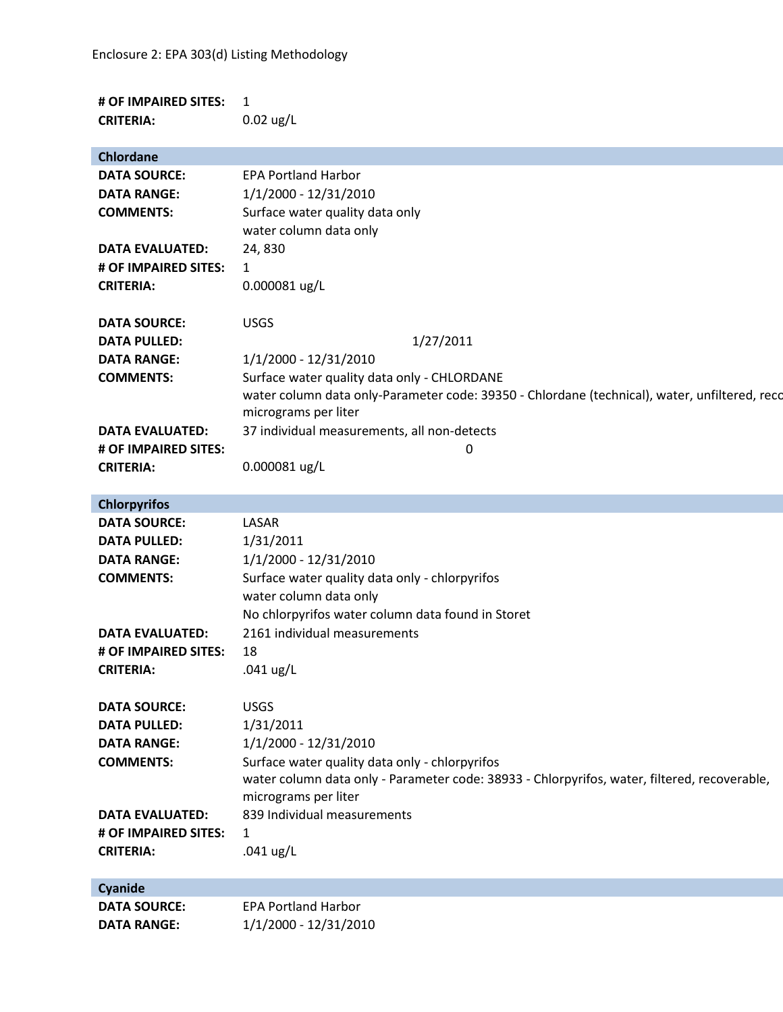| # OF IMPAIRED SITES:<br><b>CRITERIA:</b> | 1<br>$0.02$ ug/L                                                                                                                             |
|------------------------------------------|----------------------------------------------------------------------------------------------------------------------------------------------|
| <b>Chlordane</b>                         |                                                                                                                                              |
| <b>DATA SOURCE:</b>                      | <b>EPA Portland Harbor</b>                                                                                                                   |
| <b>DATA RANGE:</b>                       | 1/1/2000 - 12/31/2010                                                                                                                        |
| <b>COMMENTS:</b>                         | Surface water quality data only                                                                                                              |
|                                          | water column data only                                                                                                                       |
| <b>DATA EVALUATED:</b>                   | 24,830                                                                                                                                       |
| # OF IMPAIRED SITES:                     | $\mathbf{1}$                                                                                                                                 |
| <b>CRITERIA:</b>                         | 0.000081 ug/L                                                                                                                                |
|                                          |                                                                                                                                              |
| <b>DATA SOURCE:</b>                      | <b>USGS</b>                                                                                                                                  |
| <b>DATA PULLED:</b>                      | 1/27/2011                                                                                                                                    |
| <b>DATA RANGE:</b><br><b>COMMENTS:</b>   | 1/1/2000 - 12/31/2010                                                                                                                        |
|                                          | Surface water quality data only - CHLORDANE<br>water column data only-Parameter code: 39350 - Chlordane (technical), water, unfiltered, reco |
|                                          | micrograms per liter                                                                                                                         |
| <b>DATA EVALUATED:</b>                   | 37 individual measurements, all non-detects                                                                                                  |
| # OF IMPAIRED SITES:                     | 0                                                                                                                                            |
| <b>CRITERIA:</b>                         | 0.000081 ug/L                                                                                                                                |
|                                          |                                                                                                                                              |
| <b>Chlorpyrifos</b>                      |                                                                                                                                              |
| <b>DATA SOURCE:</b>                      | LASAR                                                                                                                                        |
| <b>DATA PULLED:</b>                      | 1/31/2011                                                                                                                                    |
| <b>DATA RANGE:</b>                       | 1/1/2000 - 12/31/2010                                                                                                                        |
| <b>COMMENTS:</b>                         | Surface water quality data only - chlorpyrifos                                                                                               |
|                                          | water column data only                                                                                                                       |
|                                          | No chlorpyrifos water column data found in Storet                                                                                            |
| <b>DATA EVALUATED:</b>                   | 2161 individual measurements                                                                                                                 |
| # OF IMPAIRED SITES:                     | 18                                                                                                                                           |
| <b>CRITERIA:</b>                         | .041 ug/L                                                                                                                                    |
| <b>DATA SOURCE:</b>                      | <b>USGS</b>                                                                                                                                  |
| <b>DATA PULLED:</b>                      | 1/31/2011                                                                                                                                    |
| <b>DATA RANGE:</b>                       | 1/1/2000 - 12/31/2010                                                                                                                        |
| <b>COMMENTS:</b>                         | Surface water quality data only - chlorpyrifos                                                                                               |
|                                          | water column data only - Parameter code: 38933 - Chlorpyrifos, water, filtered, recoverable,                                                 |
|                                          | micrograms per liter                                                                                                                         |
| <b>DATA EVALUATED:</b>                   | 839 Individual measurements                                                                                                                  |
| # OF IMPAIRED SITES:                     | 1                                                                                                                                            |
| <b>CRITERIA:</b>                         | .041 $\frac{\text{u}}{\text{u}}$                                                                                                             |
| Cyanide                                  |                                                                                                                                              |
| <b>DATA SOURCE:</b>                      | <b>EPA Portland Harbor</b>                                                                                                                   |
| <b>DATA RANGE:</b>                       | 1/1/2000 - 12/31/2010                                                                                                                        |
|                                          |                                                                                                                                              |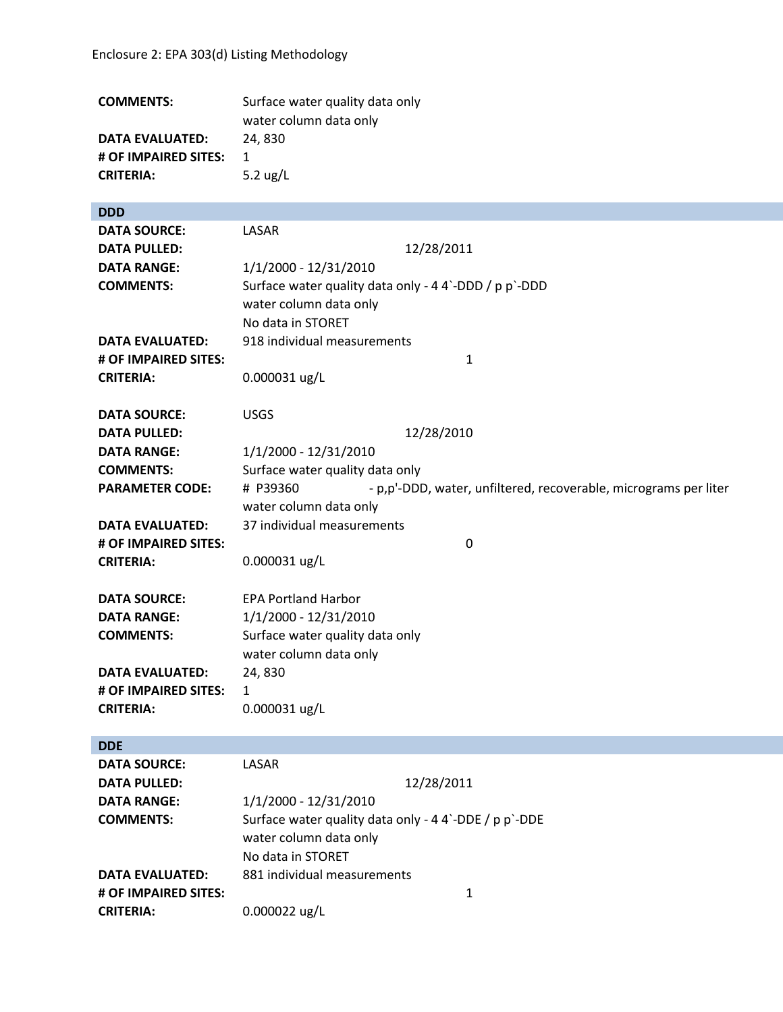| <b>COMMENTS:</b>       | Surface water quality data only                                              |  |  |
|------------------------|------------------------------------------------------------------------------|--|--|
|                        | water column data only                                                       |  |  |
| <b>DATA EVALUATED:</b> | 24,830                                                                       |  |  |
| # OF IMPAIRED SITES:   | $\mathbf{1}$                                                                 |  |  |
| <b>CRITERIA:</b>       | 5.2 $\frac{1}{2}$ L                                                          |  |  |
|                        |                                                                              |  |  |
| <b>DDD</b>             |                                                                              |  |  |
| <b>DATA SOURCE:</b>    | LASAR                                                                        |  |  |
| <b>DATA PULLED:</b>    | 12/28/2011                                                                   |  |  |
| <b>DATA RANGE:</b>     | 1/1/2000 - 12/31/2010                                                        |  |  |
| <b>COMMENTS:</b>       | Surface water quality data only - 4 4 -DDD / p p -DDD                        |  |  |
|                        | water column data only                                                       |  |  |
|                        | No data in STORET                                                            |  |  |
| <b>DATA EVALUATED:</b> | 918 individual measurements                                                  |  |  |
| # OF IMPAIRED SITES:   | $\mathbf{1}$                                                                 |  |  |
| <b>CRITERIA:</b>       | 0.000031 ug/L                                                                |  |  |
|                        |                                                                              |  |  |
| <b>DATA SOURCE:</b>    | <b>USGS</b>                                                                  |  |  |
| <b>DATA PULLED:</b>    | 12/28/2010                                                                   |  |  |
| <b>DATA RANGE:</b>     | 1/1/2000 - 12/31/2010                                                        |  |  |
| <b>COMMENTS:</b>       | Surface water quality data only                                              |  |  |
| <b>PARAMETER CODE:</b> | # P39360<br>- p,p'-DDD, water, unfiltered, recoverable, micrograms per liter |  |  |
|                        | water column data only                                                       |  |  |
| <b>DATA EVALUATED:</b> | 37 individual measurements                                                   |  |  |
| # OF IMPAIRED SITES:   | $\mathbf 0$                                                                  |  |  |
| <b>CRITERIA:</b>       | 0.000031 ug/L                                                                |  |  |
|                        |                                                                              |  |  |
| <b>DATA SOURCE:</b>    | <b>EPA Portland Harbor</b>                                                   |  |  |
| <b>DATA RANGE:</b>     | 1/1/2000 - 12/31/2010                                                        |  |  |
| <b>COMMENTS:</b>       | Surface water quality data only                                              |  |  |
|                        | water column data only                                                       |  |  |
| <b>DATA EVALUATED:</b> | 24,830                                                                       |  |  |
| # OF IMPAIRED SITES:   | 1                                                                            |  |  |
| <b>CRITERIA:</b>       | 0.000031 ug/L                                                                |  |  |
|                        |                                                                              |  |  |
| <b>DDE</b>             |                                                                              |  |  |
| <b>DATA SOURCE:</b>    | LASAR                                                                        |  |  |
| <b>DATA PULLED:</b>    | 12/28/2011                                                                   |  |  |
| <b>DATA RANGE:</b>     | 1/1/2000 - 12/31/2010                                                        |  |  |
| <b>COMMENTS:</b>       | Surface water quality data only - 4 4 '-DDE / p p `-DDE                      |  |  |
|                        | water column data only                                                       |  |  |
|                        | No data in STORET                                                            |  |  |
| <b>DATA EVALUATED:</b> | 881 individual measurements                                                  |  |  |
| # OF IMPAIRED SITES:   | $\mathbf{1}$                                                                 |  |  |
| <b>CRITERIA:</b>       | 0.000022 ug/L                                                                |  |  |
|                        |                                                                              |  |  |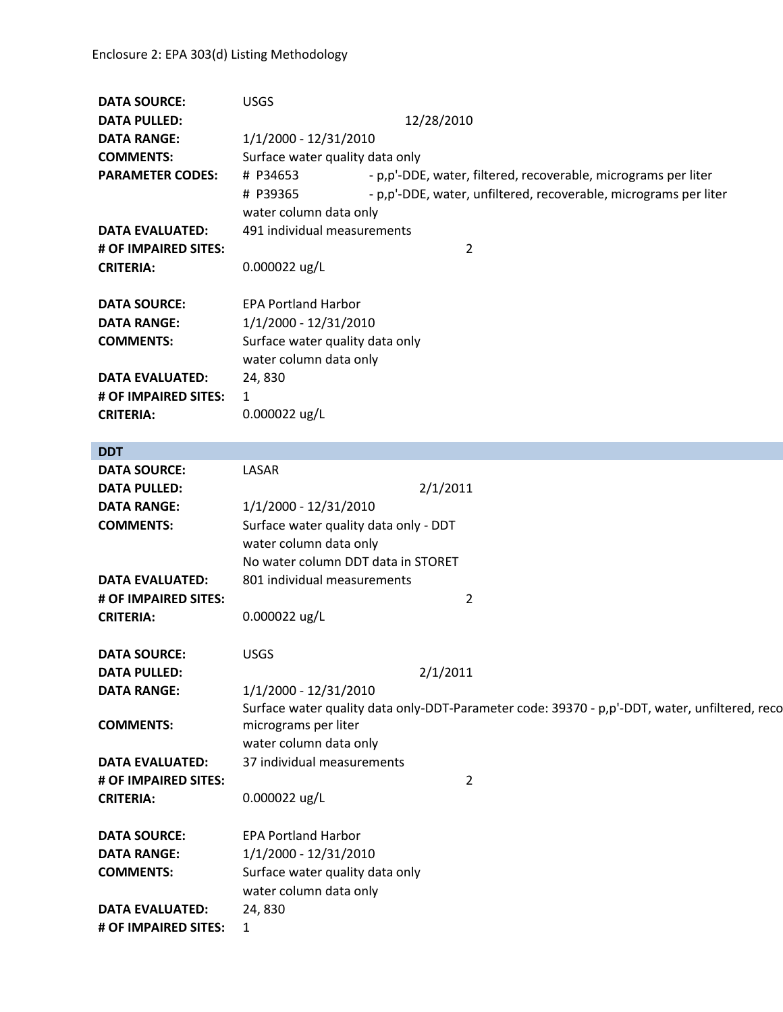|                                             | <b>DATA SOURCE:</b>     | <b>USGS</b>                                                                                   |  |  |
|---------------------------------------------|-------------------------|-----------------------------------------------------------------------------------------------|--|--|
|                                             | <b>DATA PULLED:</b>     | 12/28/2010                                                                                    |  |  |
|                                             | <b>DATA RANGE:</b>      | 1/1/2000 - 12/31/2010                                                                         |  |  |
|                                             | <b>COMMENTS:</b>        | Surface water quality data only                                                               |  |  |
|                                             | <b>PARAMETER CODES:</b> | # P34653<br>- p,p'-DDE, water, filtered, recoverable, micrograms per liter                    |  |  |
|                                             |                         | - p,p'-DDE, water, unfiltered, recoverable, micrograms per liter<br># P39365                  |  |  |
|                                             |                         | water column data only                                                                        |  |  |
|                                             | <b>DATA EVALUATED:</b>  | 491 individual measurements                                                                   |  |  |
|                                             | # OF IMPAIRED SITES:    | $\overline{2}$                                                                                |  |  |
|                                             | <b>CRITERIA:</b>        | 0.000022 ug/L                                                                                 |  |  |
|                                             |                         |                                                                                               |  |  |
|                                             | <b>DATA SOURCE:</b>     | <b>EPA Portland Harbor</b>                                                                    |  |  |
|                                             | <b>DATA RANGE:</b>      | 1/1/2000 - 12/31/2010                                                                         |  |  |
|                                             | <b>COMMENTS:</b>        | Surface water quality data only                                                               |  |  |
|                                             |                         | water column data only                                                                        |  |  |
|                                             | <b>DATA EVALUATED:</b>  | 24,830                                                                                        |  |  |
|                                             | # OF IMPAIRED SITES:    | $\mathbf{1}$                                                                                  |  |  |
|                                             | <b>CRITERIA:</b>        | 0.000022 ug/L                                                                                 |  |  |
|                                             |                         |                                                                                               |  |  |
|                                             | <b>DDT</b>              |                                                                                               |  |  |
|                                             | <b>DATA SOURCE:</b>     | LASAR                                                                                         |  |  |
|                                             | <b>DATA PULLED:</b>     | 2/1/2011                                                                                      |  |  |
| 1/1/2000 - 12/31/2010<br><b>DATA RANGE:</b> |                         |                                                                                               |  |  |
|                                             | <b>COMMENTS:</b>        | Surface water quality data only - DDT                                                         |  |  |
|                                             |                         | water column data only                                                                        |  |  |
|                                             |                         | No water column DDT data in STORET                                                            |  |  |
|                                             | <b>DATA EVALUATED:</b>  | 801 individual measurements                                                                   |  |  |
|                                             | # OF IMPAIRED SITES:    | $\overline{2}$                                                                                |  |  |
|                                             | <b>CRITERIA:</b>        | $0.000022$ ug/L                                                                               |  |  |
|                                             |                         |                                                                                               |  |  |
|                                             | <b>DATA SOURCE:</b>     | <b>USGS</b>                                                                                   |  |  |
|                                             | <b>DATA PULLED:</b>     | 2/1/2011                                                                                      |  |  |
|                                             | <b>DATA RANGE:</b>      | 1/1/2000 - 12/31/2010                                                                         |  |  |
|                                             |                         | Surface water quality data only-DDT-Parameter code: 39370 - p,p'-DDT, water, unfiltered, reco |  |  |
|                                             | <b>COMMENTS:</b>        | micrograms per liter                                                                          |  |  |
|                                             |                         | water column data only                                                                        |  |  |
|                                             | <b>DATA EVALUATED:</b>  | 37 individual measurements                                                                    |  |  |
|                                             | # OF IMPAIRED SITES:    | $\overline{2}$                                                                                |  |  |
|                                             | <b>CRITERIA:</b>        | 0.000022 ug/L                                                                                 |  |  |
|                                             |                         |                                                                                               |  |  |
|                                             | <b>DATA SOURCE:</b>     | <b>EPA Portland Harbor</b>                                                                    |  |  |
|                                             | <b>DATA RANGE:</b>      | 1/1/2000 - 12/31/2010                                                                         |  |  |
|                                             | <b>COMMENTS:</b>        | Surface water quality data only                                                               |  |  |
|                                             |                         | water column data only                                                                        |  |  |
|                                             | <b>DATA EVALUATED:</b>  | 24,830                                                                                        |  |  |
|                                             | # OF IMPAIRED SITES:    | 1                                                                                             |  |  |
|                                             |                         |                                                                                               |  |  |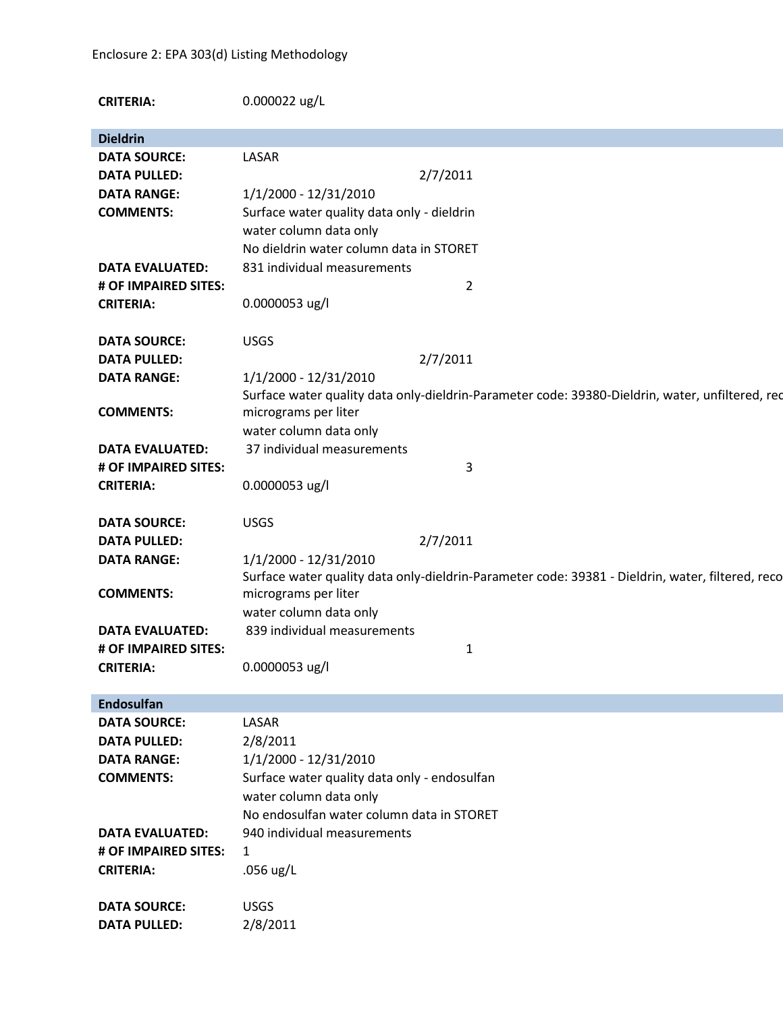| <b>CRITERIA:</b>       | 0.000022 ug/L                                                                                    |
|------------------------|--------------------------------------------------------------------------------------------------|
| <b>Dieldrin</b>        |                                                                                                  |
| <b>DATA SOURCE:</b>    | LASAR                                                                                            |
| <b>DATA PULLED:</b>    | 2/7/2011                                                                                         |
| <b>DATA RANGE:</b>     | 1/1/2000 - 12/31/2010                                                                            |
| <b>COMMENTS:</b>       | Surface water quality data only - dieldrin                                                       |
|                        | water column data only                                                                           |
|                        | No dieldrin water column data in STORET                                                          |
| <b>DATA EVALUATED:</b> | 831 individual measurements                                                                      |
| # OF IMPAIRED SITES:   | 2                                                                                                |
| <b>CRITERIA:</b>       | $0.0000053$ ug/l                                                                                 |
| <b>DATA SOURCE:</b>    | <b>USGS</b>                                                                                      |
| <b>DATA PULLED:</b>    | 2/7/2011                                                                                         |
| <b>DATA RANGE:</b>     | 1/1/2000 - 12/31/2010                                                                            |
|                        | Surface water quality data only-dieldrin-Parameter code: 39380-Dieldrin, water, unfiltered, red  |
| <b>COMMENTS:</b>       | micrograms per liter                                                                             |
|                        | water column data only                                                                           |
| <b>DATA EVALUATED:</b> | 37 individual measurements                                                                       |
| # OF IMPAIRED SITES:   | 3                                                                                                |
| <b>CRITERIA:</b>       | 0.0000053 ug/l                                                                                   |
| <b>DATA SOURCE:</b>    | <b>USGS</b>                                                                                      |
| <b>DATA PULLED:</b>    | 2/7/2011                                                                                         |
| <b>DATA RANGE:</b>     | 1/1/2000 - 12/31/2010                                                                            |
|                        | Surface water quality data only-dieldrin-Parameter code: 39381 - Dieldrin, water, filtered, reco |
| <b>COMMENTS:</b>       | micrograms per liter                                                                             |
|                        | water column data only                                                                           |
| <b>DATA EVALUATED:</b> | 839 individual measurements                                                                      |
| # OF IMPAIRED SITES:   | 1                                                                                                |
| <b>CRITERIA:</b>       | $0.0000053$ ug/l                                                                                 |
| <b>Endosulfan</b>      |                                                                                                  |
| <b>DATA SOURCE:</b>    | LASAR                                                                                            |
| <b>DATA PULLED:</b>    | 2/8/2011                                                                                         |
| <b>DATA RANGE:</b>     | 1/1/2000 - 12/31/2010                                                                            |
| <b>COMMENTS:</b>       | Surface water quality data only - endosulfan                                                     |
|                        | water column data only                                                                           |
|                        | No endosulfan water column data in STORET                                                        |
| <b>DATA EVALUATED:</b> | 940 individual measurements                                                                      |
| # OF IMPAIRED SITES:   | 1                                                                                                |
| <b>CRITERIA:</b>       | .056 $ug/L$                                                                                      |
| <b>DATA SOURCE:</b>    | <b>USGS</b>                                                                                      |
| <b>DATA PULLED:</b>    | 2/8/2011                                                                                         |
|                        |                                                                                                  |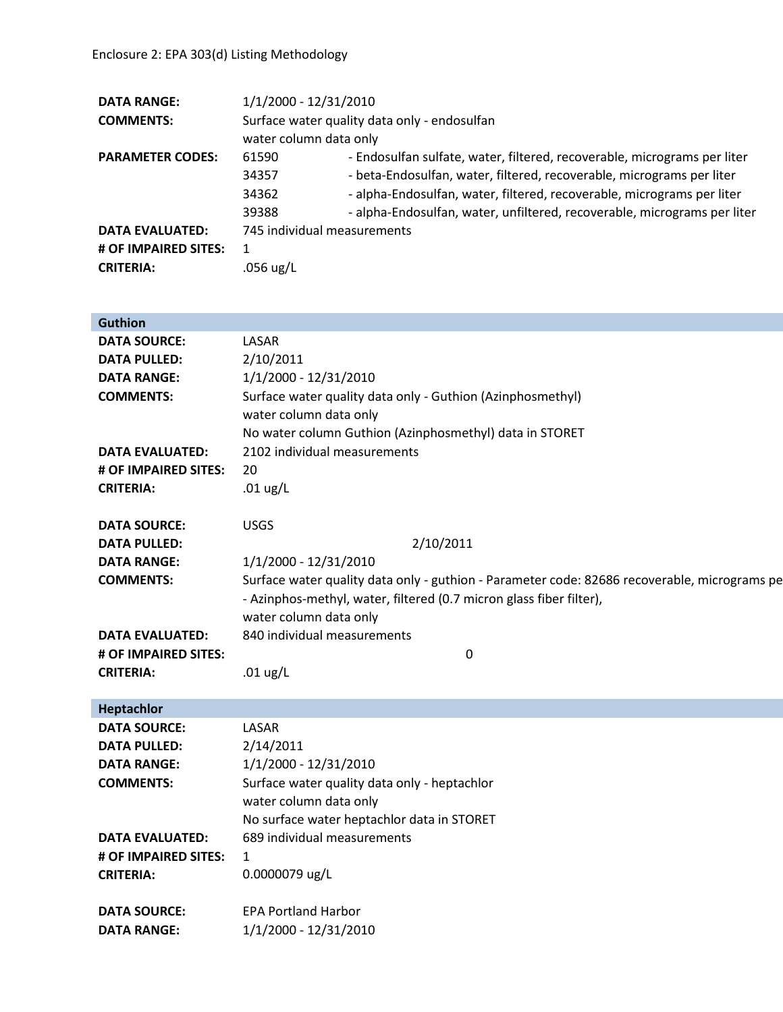| <b>DATA RANGE:</b>      | 1/1/2000 - 12/31/2010                        |                                                                          |
|-------------------------|----------------------------------------------|--------------------------------------------------------------------------|
| <b>COMMENTS:</b>        | Surface water quality data only - endosulfan |                                                                          |
|                         | water column data only                       |                                                                          |
| <b>PARAMETER CODES:</b> | 61590                                        | - Endosulfan sulfate, water, filtered, recoverable, micrograms per liter |
|                         | 34357                                        | - beta-Endosulfan, water, filtered, recoverable, micrograms per liter    |
|                         | 34362                                        | - alpha-Endosulfan, water, filtered, recoverable, micrograms per liter   |
|                         | 39388                                        | - alpha-Endosulfan, water, unfiltered, recoverable, micrograms per liter |
| <b>DATA EVALUATED:</b>  | 745 individual measurements                  |                                                                          |
| # OF IMPAIRED SITES:    | 1                                            |                                                                          |
| <b>CRITERIA:</b>        | .056 $\mu$ g/L                               |                                                                          |

| <b>Guthion</b>                                                                                                 |                                                                                                                                                                                                                                                    |
|----------------------------------------------------------------------------------------------------------------|----------------------------------------------------------------------------------------------------------------------------------------------------------------------------------------------------------------------------------------------------|
| <b>DATA SOURCE:</b><br><b>DATA PULLED:</b><br><b>DATA RANGE:</b><br><b>COMMENTS:</b>                           | LASAR<br>2/10/2011<br>1/1/2000 - 12/31/2010<br>Surface water quality data only - Guthion (Azinphosmethyl)<br>water column data only<br>No water column Guthion (Azinphosmethyl) data in STORET                                                     |
| <b>DATA EVALUATED:</b><br># OF IMPAIRED SITES:<br><b>CRITERIA:</b>                                             | 2102 individual measurements<br>20<br>.01 $\frac{u}{L}$                                                                                                                                                                                            |
| <b>DATA SOURCE:</b><br><b>DATA PULLED:</b><br><b>DATA RANGE:</b><br><b>COMMENTS:</b>                           | <b>USGS</b><br>2/10/2011<br>1/1/2000 - 12/31/2010<br>Surface water quality data only - guthion - Parameter code: 82686 recoverable, micrograms pe<br>- Azinphos-methyl, water, filtered (0.7 micron glass fiber filter),<br>water column data only |
| <b>DATA EVALUATED:</b><br># OF IMPAIRED SITES:<br><b>CRITERIA:</b>                                             | 840 individual measurements<br>0<br>.01 $\frac{ug}{L}$                                                                                                                                                                                             |
| Heptachlor                                                                                                     |                                                                                                                                                                                                                                                    |
| <b>DATA SOURCE:</b><br><b>DATA PULLED:</b><br><b>DATA RANGE:</b><br><b>COMMENTS:</b><br><b>DATA EVALUATED:</b> | LASAR<br>2/14/2011<br>1/1/2000 - 12/31/2010<br>Surface water quality data only - heptachlor<br>water column data only<br>No surface water heptachlor data in STORET<br>689 individual measurements                                                 |
| # OF IMPAIRED SITES:<br><b>CRITERIA:</b>                                                                       | $\mathbf{1}$<br>0.0000079 ug/L                                                                                                                                                                                                                     |
| <b>DATA SOURCE:</b><br><b>DATA RANGE:</b>                                                                      | <b>EPA Portland Harbor</b><br>1/1/2000 - 12/31/2010                                                                                                                                                                                                |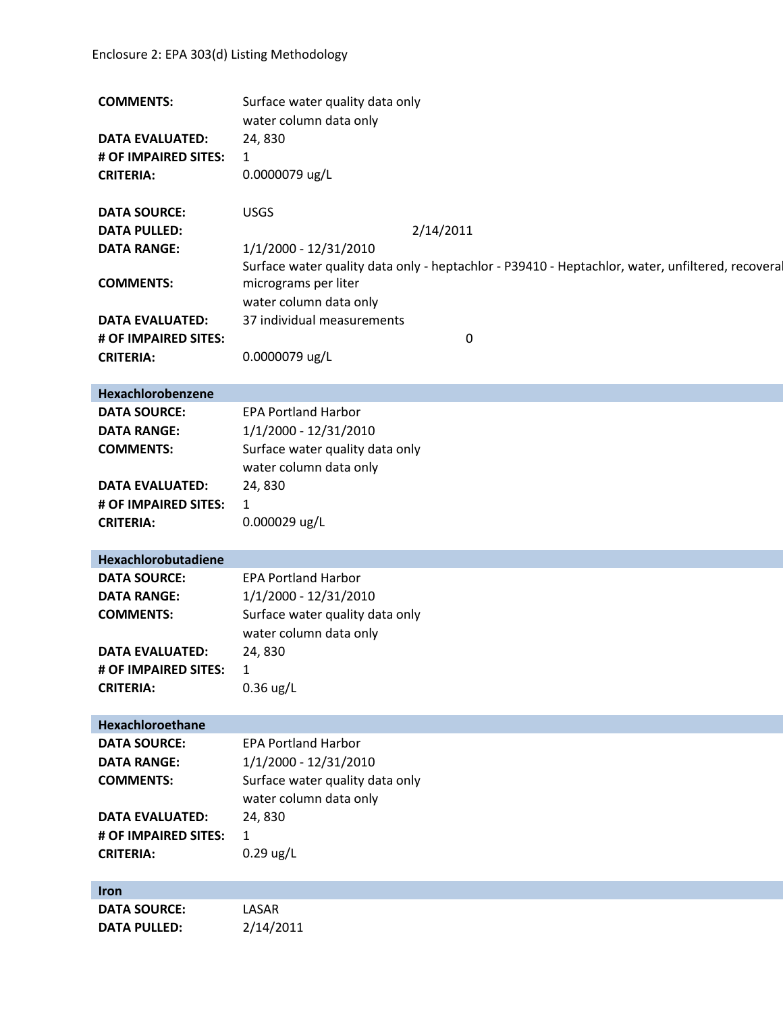| <b>COMMENTS:</b>       | Surface water quality data only                                                                 |  |  |
|------------------------|-------------------------------------------------------------------------------------------------|--|--|
|                        | water column data only                                                                          |  |  |
| <b>DATA EVALUATED:</b> | 24,830                                                                                          |  |  |
| # OF IMPAIRED SITES:   | $\mathbf{1}$                                                                                    |  |  |
| <b>CRITERIA:</b>       | 0.0000079 ug/L                                                                                  |  |  |
|                        |                                                                                                 |  |  |
| <b>DATA SOURCE:</b>    | <b>USGS</b>                                                                                     |  |  |
| <b>DATA PULLED:</b>    | 2/14/2011                                                                                       |  |  |
| <b>DATA RANGE:</b>     | 1/1/2000 - 12/31/2010                                                                           |  |  |
|                        | Surface water quality data only - heptachlor - P39410 - Heptachlor, water, unfiltered, recovera |  |  |
| <b>COMMENTS:</b>       | micrograms per liter                                                                            |  |  |
|                        | water column data only                                                                          |  |  |
| <b>DATA EVALUATED:</b> | 37 individual measurements                                                                      |  |  |
| # OF IMPAIRED SITES:   | 0                                                                                               |  |  |
| <b>CRITERIA:</b>       | 0.0000079 ug/L                                                                                  |  |  |
|                        |                                                                                                 |  |  |
| Hexachlorobenzene      |                                                                                                 |  |  |
|                        |                                                                                                 |  |  |
| <b>DATA SOURCE:</b>    | <b>EPA Portland Harbor</b>                                                                      |  |  |
| <b>DATA RANGE:</b>     | 1/1/2000 - 12/31/2010                                                                           |  |  |
| <b>COMMENTS:</b>       | Surface water quality data only                                                                 |  |  |
|                        | water column data only                                                                          |  |  |
| <b>DATA EVALUATED:</b> | 24,830                                                                                          |  |  |
| # OF IMPAIRED SITES:   | $\mathbf{1}$                                                                                    |  |  |
| <b>CRITERIA:</b>       | 0.000029 ug/L                                                                                   |  |  |
|                        |                                                                                                 |  |  |
| Hexachlorobutadiene    |                                                                                                 |  |  |
| <b>DATA SOURCE:</b>    | <b>EPA Portland Harbor</b>                                                                      |  |  |
| <b>DATA RANGE:</b>     | 1/1/2000 - 12/31/2010                                                                           |  |  |
| <b>COMMENTS:</b>       | Surface water quality data only                                                                 |  |  |
|                        | water column data only                                                                          |  |  |
| <b>DATA EVALUATED:</b> | 24,830                                                                                          |  |  |
| # OF IMPAIRED SITES:   | $\mathbf{1}$                                                                                    |  |  |
| <b>CRITERIA:</b>       | $0.36$ ug/L                                                                                     |  |  |
|                        |                                                                                                 |  |  |
| Hexachloroethane       |                                                                                                 |  |  |
| <b>DATA SOURCE:</b>    | <b>EPA Portland Harbor</b>                                                                      |  |  |
| <b>DATA RANGE:</b>     | 1/1/2000 - 12/31/2010                                                                           |  |  |
| <b>COMMENTS:</b>       | Surface water quality data only                                                                 |  |  |
|                        | water column data only                                                                          |  |  |
| <b>DATA EVALUATED:</b> |                                                                                                 |  |  |
| # OF IMPAIRED SITES:   | 24,830                                                                                          |  |  |
|                        | $\mathbf{1}$                                                                                    |  |  |
| <b>CRITERIA:</b>       | $0.29$ ug/L                                                                                     |  |  |
| Iron                   |                                                                                                 |  |  |
| <b>DATA SOURCE:</b>    | LASAR                                                                                           |  |  |
| <b>DATA PULLED:</b>    | 2/14/2011                                                                                       |  |  |
|                        |                                                                                                 |  |  |
|                        |                                                                                                 |  |  |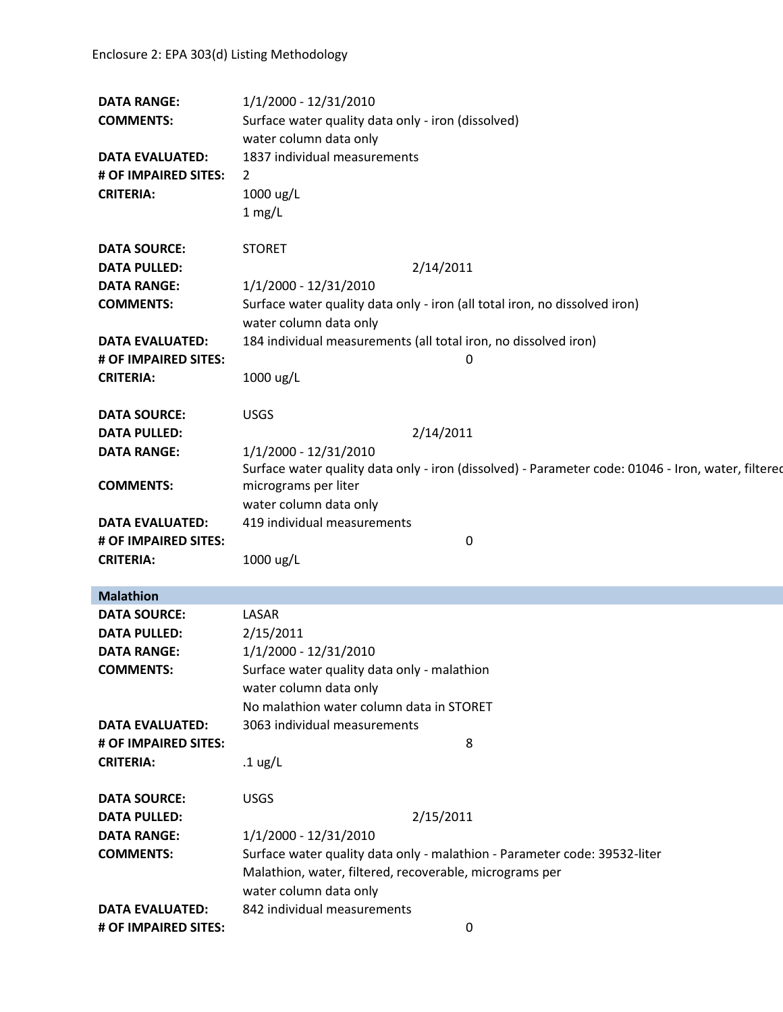| <b>DATA RANGE:</b>                             | 1/1/2000 - 12/31/2010                                                                                                                |  |  |
|------------------------------------------------|--------------------------------------------------------------------------------------------------------------------------------------|--|--|
| <b>COMMENTS:</b>                               | Surface water quality data only - iron (dissolved)                                                                                   |  |  |
|                                                | water column data only<br>1837 individual measurements                                                                               |  |  |
| <b>DATA EVALUATED:</b><br># OF IMPAIRED SITES: |                                                                                                                                      |  |  |
| <b>CRITERIA:</b>                               | $\overline{2}$<br>1000 ug/L                                                                                                          |  |  |
|                                                | $1$ mg/L                                                                                                                             |  |  |
|                                                |                                                                                                                                      |  |  |
| <b>DATA SOURCE:</b>                            | <b>STORET</b>                                                                                                                        |  |  |
| <b>DATA PULLED:</b>                            | 2/14/2011                                                                                                                            |  |  |
| <b>DATA RANGE:</b>                             | 1/1/2000 - 12/31/2010                                                                                                                |  |  |
| <b>COMMENTS:</b>                               | Surface water quality data only - iron (all total iron, no dissolved iron)                                                           |  |  |
|                                                | water column data only                                                                                                               |  |  |
| <b>DATA EVALUATED:</b>                         | 184 individual measurements (all total iron, no dissolved iron)                                                                      |  |  |
| # OF IMPAIRED SITES:                           | 0                                                                                                                                    |  |  |
| <b>CRITERIA:</b>                               | 1000 ug/L                                                                                                                            |  |  |
|                                                |                                                                                                                                      |  |  |
| <b>DATA SOURCE:</b>                            | <b>USGS</b>                                                                                                                          |  |  |
| <b>DATA PULLED:</b>                            | 2/14/2011                                                                                                                            |  |  |
| <b>DATA RANGE:</b>                             | 1/1/2000 - 12/31/2010                                                                                                                |  |  |
|                                                | Surface water quality data only - iron (dissolved) - Parameter code: 01046 - Iron, water, filtered                                   |  |  |
| <b>COMMENTS:</b>                               | micrograms per liter                                                                                                                 |  |  |
|                                                | water column data only                                                                                                               |  |  |
| <b>DATA EVALUATED:</b>                         | 419 individual measurements                                                                                                          |  |  |
| # OF IMPAIRED SITES:<br><b>CRITERIA:</b>       | 0                                                                                                                                    |  |  |
|                                                | 1000 ug/L                                                                                                                            |  |  |
| <b>Malathion</b>                               |                                                                                                                                      |  |  |
| <b>DATA SOURCE:</b>                            | LASAR                                                                                                                                |  |  |
| <b>DATA PULLED:</b>                            | 2/15/2011                                                                                                                            |  |  |
| <b>DATA RANGE:</b>                             | 1/1/2000 - 12/31/2010                                                                                                                |  |  |
| <b>COMMENTS:</b>                               | Surface water quality data only - malathion                                                                                          |  |  |
|                                                | water column data only                                                                                                               |  |  |
|                                                | No malathion water column data in STORET                                                                                             |  |  |
| <b>DATA EVALUATED:</b>                         | 3063 individual measurements                                                                                                         |  |  |
| # OF IMPAIRED SITES:                           | 8                                                                                                                                    |  |  |
| <b>CRITERIA:</b>                               | $.1$ ug/L                                                                                                                            |  |  |
|                                                |                                                                                                                                      |  |  |
| <b>DATA SOURCE:</b>                            | <b>USGS</b>                                                                                                                          |  |  |
| <b>DATA PULLED:</b>                            | 2/15/2011                                                                                                                            |  |  |
| <b>DATA RANGE:</b>                             | 1/1/2000 - 12/31/2010                                                                                                                |  |  |
| <b>COMMENTS:</b>                               | Surface water quality data only - malathion - Parameter code: 39532-liter<br>Malathion, water, filtered, recoverable, micrograms per |  |  |
|                                                |                                                                                                                                      |  |  |
|                                                | water column data only<br>842 individual measurements                                                                                |  |  |
| <b>DATA EVALUATED:</b>                         |                                                                                                                                      |  |  |
| # OF IMPAIRED SITES:                           | 0                                                                                                                                    |  |  |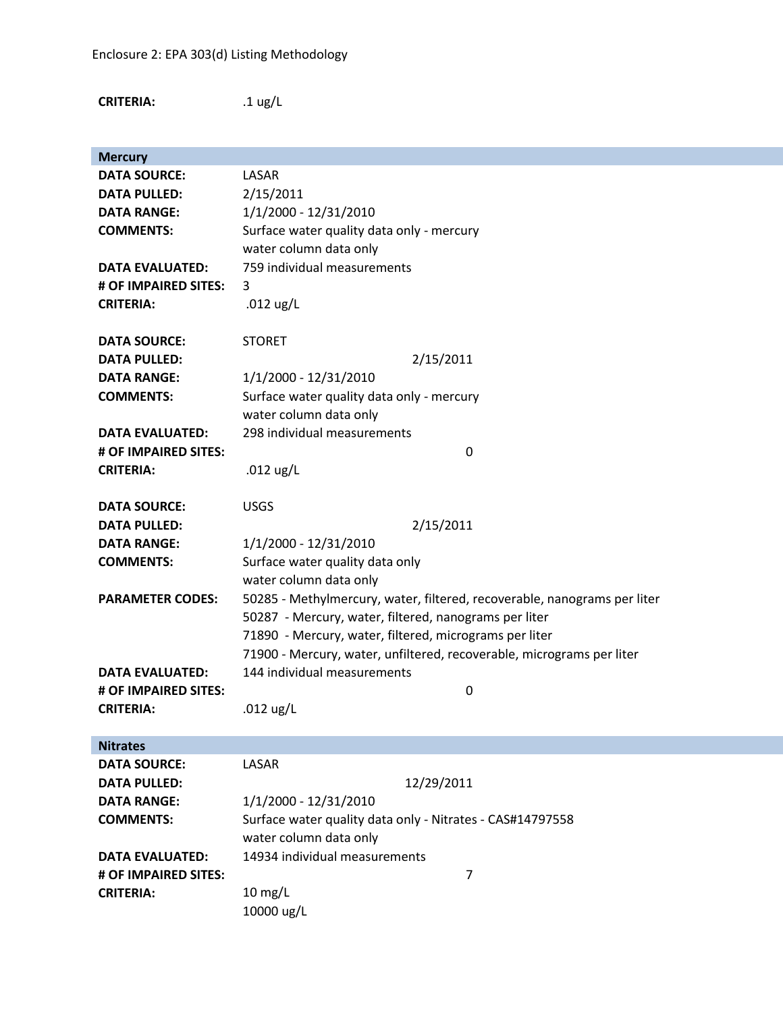# **CRITERIA:** .1 ug/L

| <b>Mercury</b>                                          |                                                                          |  |  |
|---------------------------------------------------------|--------------------------------------------------------------------------|--|--|
| <b>DATA SOURCE:</b>                                     | LASAR                                                                    |  |  |
| <b>DATA PULLED:</b>                                     | 2/15/2011                                                                |  |  |
| <b>DATA RANGE:</b>                                      | 1/1/2000 - 12/31/2010                                                    |  |  |
| <b>COMMENTS:</b>                                        | Surface water quality data only - mercury                                |  |  |
|                                                         | water column data only                                                   |  |  |
| <b>DATA EVALUATED:</b>                                  | 759 individual measurements                                              |  |  |
| # OF IMPAIRED SITES:                                    | 3                                                                        |  |  |
| <b>CRITERIA:</b>                                        | .012 $\mu$ g/L                                                           |  |  |
|                                                         |                                                                          |  |  |
| <b>DATA SOURCE:</b>                                     | <b>STORET</b>                                                            |  |  |
| <b>DATA PULLED:</b>                                     | 2/15/2011                                                                |  |  |
| <b>DATA RANGE:</b>                                      | 1/1/2000 - 12/31/2010                                                    |  |  |
| <b>COMMENTS:</b>                                        | Surface water quality data only - mercury                                |  |  |
|                                                         |                                                                          |  |  |
|                                                         | water column data only                                                   |  |  |
| <b>DATA EVALUATED:</b>                                  | 298 individual measurements                                              |  |  |
| # OF IMPAIRED SITES:                                    | 0                                                                        |  |  |
| <b>CRITERIA:</b>                                        | .012 $\mu$ g/L                                                           |  |  |
|                                                         |                                                                          |  |  |
| <b>DATA SOURCE:</b>                                     | <b>USGS</b>                                                              |  |  |
| <b>DATA PULLED:</b>                                     | 2/15/2011                                                                |  |  |
| <b>DATA RANGE:</b>                                      | 1/1/2000 - 12/31/2010                                                    |  |  |
| <b>COMMENTS:</b>                                        | Surface water quality data only                                          |  |  |
|                                                         | water column data only                                                   |  |  |
| <b>PARAMETER CODES:</b>                                 | 50285 - Methylmercury, water, filtered, recoverable, nanograms per liter |  |  |
| 50287 - Mercury, water, filtered, nanograms per liter   |                                                                          |  |  |
|                                                         | 71890 - Mercury, water, filtered, micrograms per liter                   |  |  |
|                                                         | 71900 - Mercury, water, unfiltered, recoverable, micrograms per liter    |  |  |
| <b>DATA EVALUATED:</b>                                  | 144 individual measurements                                              |  |  |
| # OF IMPAIRED SITES:                                    | 0                                                                        |  |  |
| <b>CRITERIA:</b>                                        | .012 ug/L                                                                |  |  |
|                                                         |                                                                          |  |  |
| <b>Nitrates</b>                                         |                                                                          |  |  |
| <b>DATA SOURCE:</b>                                     | LASAR                                                                    |  |  |
| <b>DATA PULLED:</b>                                     | 12/29/2011                                                               |  |  |
| <b>DATA RANGE:</b>                                      | 1/1/2000 - 12/31/2010                                                    |  |  |
| <b>COMMENTS:</b>                                        | Surface water quality data only - Nitrates - CAS#14797558                |  |  |
|                                                         | water column data only                                                   |  |  |
| 14934 individual measurements<br><b>DATA EVALUATED:</b> |                                                                          |  |  |
| # OF IMPAIRED SITES:                                    | 7                                                                        |  |  |
| <b>CRITERIA:</b>                                        | $10$ mg/L                                                                |  |  |
|                                                         | 10000 ug/L                                                               |  |  |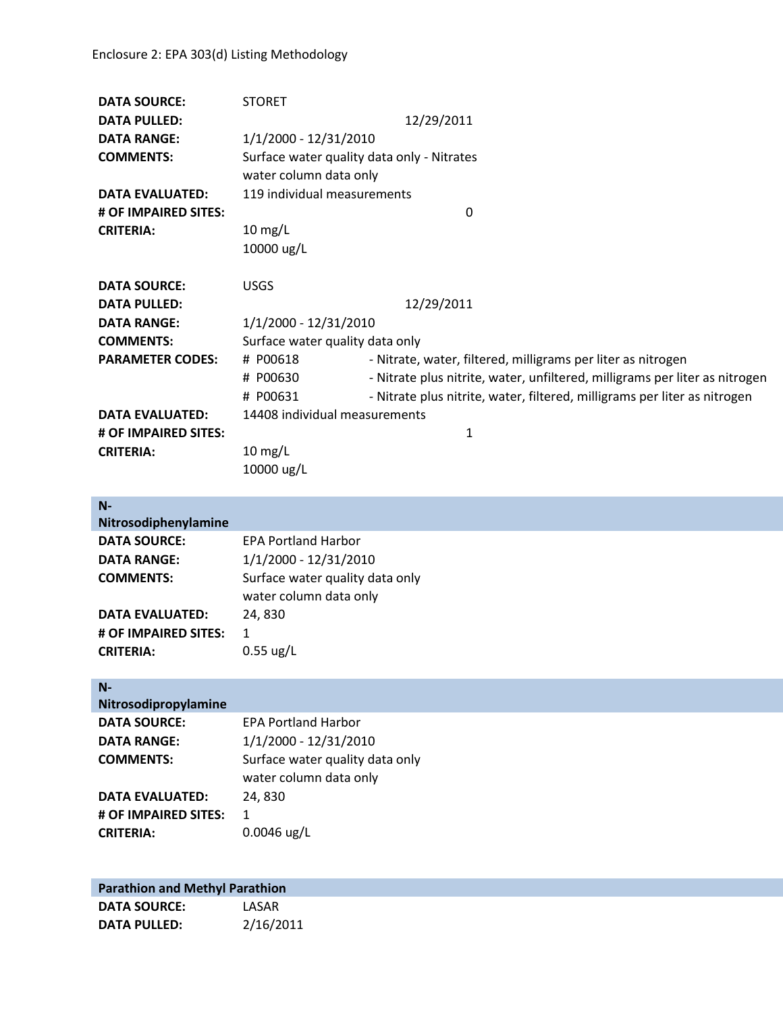I

| <b>DATA SOURCE:</b>     | <b>STORET</b>                                                                           |  |  |
|-------------------------|-----------------------------------------------------------------------------------------|--|--|
| <b>DATA PULLED:</b>     | 12/29/2011                                                                              |  |  |
| <b>DATA RANGE:</b>      | 1/1/2000 - 12/31/2010                                                                   |  |  |
| <b>COMMENTS:</b>        | Surface water quality data only - Nitrates                                              |  |  |
|                         | water column data only                                                                  |  |  |
| <b>DATA EVALUATED:</b>  | 119 individual measurements                                                             |  |  |
| # OF IMPAIRED SITES:    | 0                                                                                       |  |  |
| <b>CRITERIA:</b>        | $10 \text{ mg/L}$                                                                       |  |  |
|                         | 10000 ug/L                                                                              |  |  |
| <b>DATA SOURCE:</b>     | <b>USGS</b>                                                                             |  |  |
| <b>DATA PULLED:</b>     | 12/29/2011                                                                              |  |  |
| <b>DATA RANGE:</b>      | 1/1/2000 - 12/31/2010                                                                   |  |  |
| <b>COMMENTS:</b>        | Surface water quality data only                                                         |  |  |
| <b>PARAMETER CODES:</b> | # P00618<br>- Nitrate, water, filtered, milligrams per liter as nitrogen                |  |  |
|                         | # P00630<br>- Nitrate plus nitrite, water, unfiltered, milligrams per liter as nitrogen |  |  |
|                         | # P00631<br>- Nitrate plus nitrite, water, filtered, milligrams per liter as nitrogen   |  |  |
| <b>DATA EVALUATED:</b>  | 14408 individual measurements                                                           |  |  |
| # OF IMPAIRED SITES:    | 1                                                                                       |  |  |
| <b>CRITERIA:</b>        | $10 \text{ mg/L}$                                                                       |  |  |
|                         | 10000 ug/L                                                                              |  |  |
|                         |                                                                                         |  |  |

| $N -$                  |                                                           |
|------------------------|-----------------------------------------------------------|
| Nitrosodiphenylamine   |                                                           |
| <b>DATA SOURCE:</b>    | <b>EPA Portland Harbor</b>                                |
| <b>DATA RANGE:</b>     | 1/1/2000 - 12/31/2010                                     |
| <b>COMMENTS:</b>       | Surface water quality data only<br>water column data only |
| <b>DATA EVALUATED:</b> | 24,830                                                    |
| # OF IMPAIRED SITES:   | 1                                                         |
| <b>CRITERIA:</b>       | $0.55$ ug/L                                               |

| $N -$                  |                                 |
|------------------------|---------------------------------|
| Nitrosodipropylamine   |                                 |
| <b>DATA SOURCE:</b>    | <b>EPA Portland Harbor</b>      |
| <b>DATA RANGE:</b>     | 1/1/2000 - 12/31/2010           |
| <b>COMMENTS:</b>       | Surface water quality data only |
|                        | water column data only          |
| <b>DATA EVALUATED:</b> | 24,830                          |
| # OF IMPAIRED SITES:   |                                 |
| <b>CRITERIA:</b>       | $0.0046$ ug/L                   |

| <b>Parathion and Methyl Parathion</b> |           |
|---------------------------------------|-----------|
| <b>DATA SOURCE:</b>                   | LASAR     |
| <b>DATA PULLED:</b>                   | 2/16/2011 |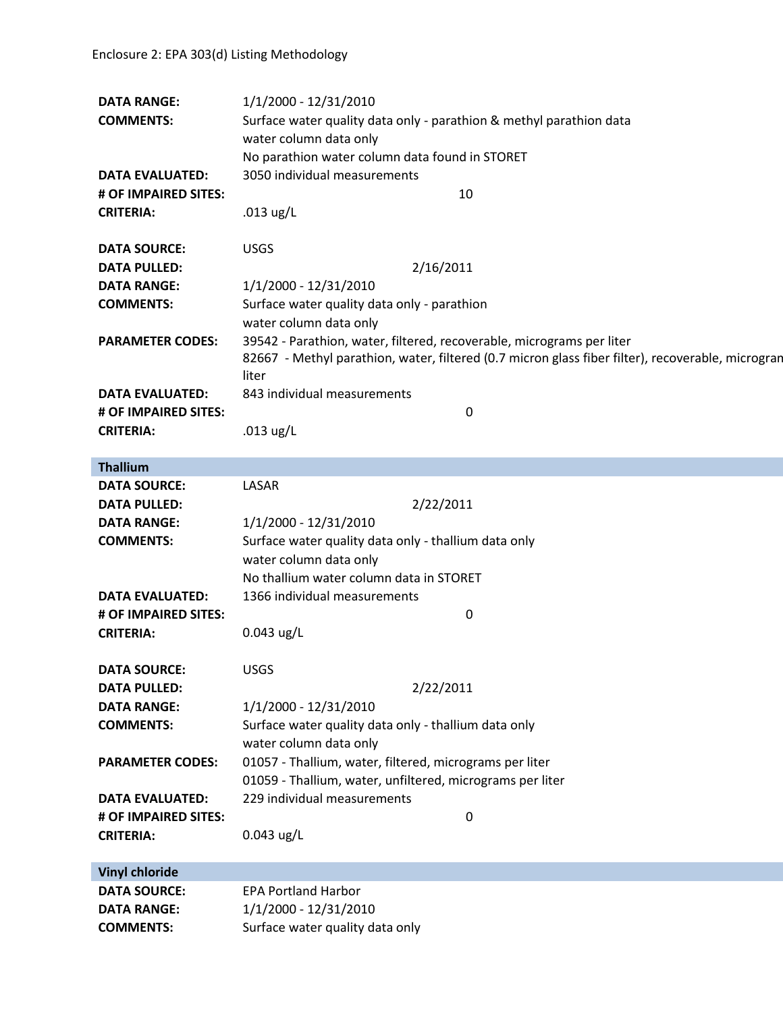| <b>DATA RANGE:</b><br><b>COMMENTS:</b> | 1/1/2000 - 12/31/2010<br>Surface water quality data only - parathion & methyl parathion data<br>water column data only<br>No parathion water column data found in STORET            |  |  |
|----------------------------------------|-------------------------------------------------------------------------------------------------------------------------------------------------------------------------------------|--|--|
| <b>DATA EVALUATED:</b>                 | 3050 individual measurements                                                                                                                                                        |  |  |
| # OF IMPAIRED SITES:                   | 10                                                                                                                                                                                  |  |  |
| <b>CRITERIA:</b>                       | .013 $\mu$ g/L                                                                                                                                                                      |  |  |
|                                        |                                                                                                                                                                                     |  |  |
| <b>DATA SOURCE:</b>                    | <b>USGS</b>                                                                                                                                                                         |  |  |
| <b>DATA PULLED:</b>                    | 2/16/2011                                                                                                                                                                           |  |  |
| <b>DATA RANGE:</b>                     | 1/1/2000 - 12/31/2010                                                                                                                                                               |  |  |
| <b>COMMENTS:</b>                       | Surface water quality data only - parathion                                                                                                                                         |  |  |
|                                        | water column data only                                                                                                                                                              |  |  |
| <b>PARAMETER CODES:</b>                | 39542 - Parathion, water, filtered, recoverable, micrograms per liter<br>82667 - Methyl parathion, water, filtered (0.7 micron glass fiber filter), recoverable, microgran<br>liter |  |  |
| <b>DATA EVALUATED:</b>                 | 843 individual measurements                                                                                                                                                         |  |  |
| # OF IMPAIRED SITES:                   | 0                                                                                                                                                                                   |  |  |
| <b>CRITERIA:</b>                       | .013 $\mu$ g/L                                                                                                                                                                      |  |  |
|                                        |                                                                                                                                                                                     |  |  |
| <b>Thallium</b>                        |                                                                                                                                                                                     |  |  |
| <b>DATA SOURCE:</b>                    | LASAR                                                                                                                                                                               |  |  |
| <b>DATA PULLED:</b>                    | 2/22/2011                                                                                                                                                                           |  |  |
| <b>DATA RANGE:</b>                     | 1/1/2000 - 12/31/2010                                                                                                                                                               |  |  |
| <b>COMMENTS:</b>                       | Surface water quality data only - thallium data only                                                                                                                                |  |  |
|                                        | water column data only                                                                                                                                                              |  |  |
|                                        | No thallium water column data in STORET                                                                                                                                             |  |  |
| <b>DATA EVALUATED:</b>                 | 1366 individual measurements                                                                                                                                                        |  |  |
| # OF IMPAIRED SITES:                   | 0                                                                                                                                                                                   |  |  |
| <b>CRITERIA:</b>                       | $0.043$ ug/L                                                                                                                                                                        |  |  |
| <b>DATA SOURCE:</b>                    | <b>USGS</b>                                                                                                                                                                         |  |  |
| <b>DATA PULLED:</b>                    | 2/22/2011                                                                                                                                                                           |  |  |
| <b>DATA RANGE:</b>                     | 1/1/2000 - 12/31/2010                                                                                                                                                               |  |  |
| <b>COMMENTS:</b>                       | Surface water quality data only - thallium data only                                                                                                                                |  |  |
|                                        | water column data only                                                                                                                                                              |  |  |
| <b>PARAMETER CODES:</b>                | 01057 - Thallium, water, filtered, micrograms per liter                                                                                                                             |  |  |
|                                        | 01059 - Thallium, water, unfiltered, micrograms per liter                                                                                                                           |  |  |

**Vinyl chloride DATA SOURCE:** EPA Portland Harbor<br>**DATA RANGE:** 1/1/2000 - 12/31/201 **DATA RANGE:** 1/1/2000 - 12/31/2010

**CRITERIA:** 0.043 ug/L

| DAIA NAIVUL.     | 1/1/2000 - 12/31/2010           |
|------------------|---------------------------------|
| <b>COMMENTS:</b> | Surface water quality data only |

**DATA EVALUATED:** 229 individual measurements

**# OF IMPAIRED SITES:** 0